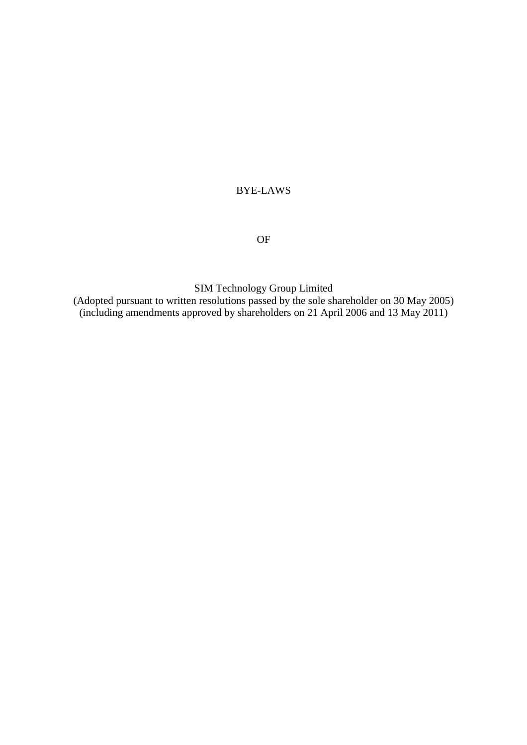# BYE-LAWS

# OF

SIM Technology Group Limited

(Adopted pursuant to written resolutions passed by the sole shareholder on 30 May 2005) (including amendments approved by shareholders on 21 April 2006 and 13 May 2011)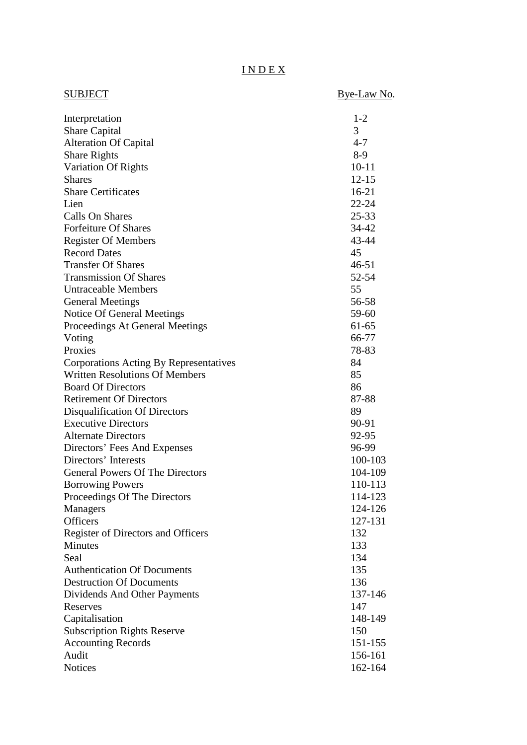# I N D E X

| SUBJECT                                | Bye-Law No. |
|----------------------------------------|-------------|
| Interpretation                         | $1 - 2$     |
| <b>Share Capital</b>                   | 3           |
| <b>Alteration Of Capital</b>           | $4 - 7$     |
| <b>Share Rights</b>                    | $8-9$       |
| Variation Of Rights                    | $10 - 11$   |
| <b>Shares</b>                          | $12 - 15$   |
| <b>Share Certificates</b>              | $16-21$     |
| Lien                                   | $22 - 24$   |
| <b>Calls On Shares</b>                 | $25 - 33$   |
| <b>Forfeiture Of Shares</b>            | 34-42       |
| <b>Register Of Members</b>             | 43-44       |
| <b>Record Dates</b>                    | 45          |
| <b>Transfer Of Shares</b>              | $46 - 51$   |
| <b>Transmission Of Shares</b>          | 52-54       |
| <b>Untraceable Members</b>             | 55          |
| <b>General Meetings</b>                | 56-58       |
| Notice Of General Meetings             | 59-60       |
| Proceedings At General Meetings        | $61 - 65$   |
| Voting                                 | 66-77       |
| Proxies                                | 78-83       |
| Corporations Acting By Representatives | 84          |
| <b>Written Resolutions Of Members</b>  | 85          |
| <b>Board Of Directors</b>              | 86          |
| <b>Retirement Of Directors</b>         | 87-88       |
| Disqualification Of Directors          | 89          |
| <b>Executive Directors</b>             | 90-91       |
| <b>Alternate Directors</b>             | 92-95       |
| Directors' Fees And Expenses           | 96-99       |
| Directors' Interests                   | 100-103     |
| <b>General Powers Of The Directors</b> | 104-109     |
| <b>Borrowing Powers</b>                | 110-113     |
| Proceedings Of The Directors           | 114-123     |
| Managers                               | 124-126     |
| <b>Officers</b>                        | 127-131     |
| Register of Directors and Officers     | 132         |
| <b>Minutes</b>                         | 133         |
| Seal                                   | 134         |
| <b>Authentication Of Documents</b>     | 135         |
| <b>Destruction Of Documents</b>        | 136         |
| Dividends And Other Payments           | 137-146     |
| Reserves                               | 147         |
| Capitalisation                         | 148-149     |
| <b>Subscription Rights Reserve</b>     | 150         |
| <b>Accounting Records</b>              | 151-155     |
| Audit                                  | 156-161     |
| <b>Notices</b>                         | 162-164     |
|                                        |             |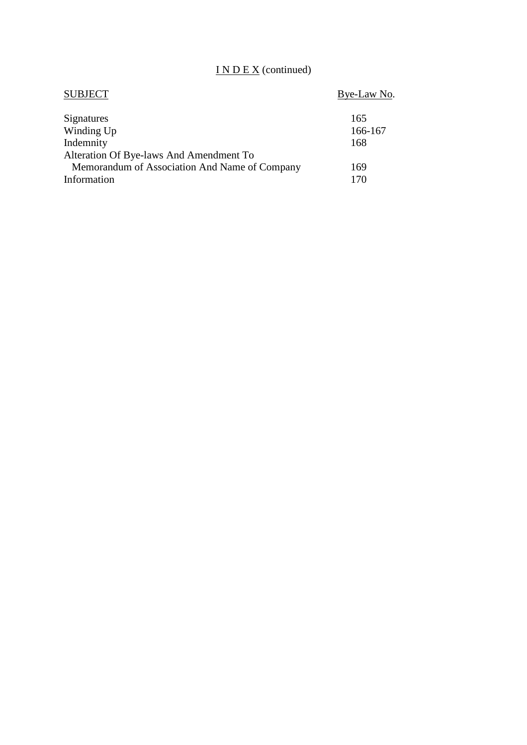# I N D E X (continued)

| <b>SUBJECT</b>                                | Bye-Law No. |
|-----------------------------------------------|-------------|
| Signatures                                    | 165         |
| Winding Up                                    | 166-167     |
| Indemnity                                     | 168         |
| Alteration Of Bye-laws And Amendment To       |             |
| Memorandum of Association And Name of Company | 169         |
| Information                                   | 170         |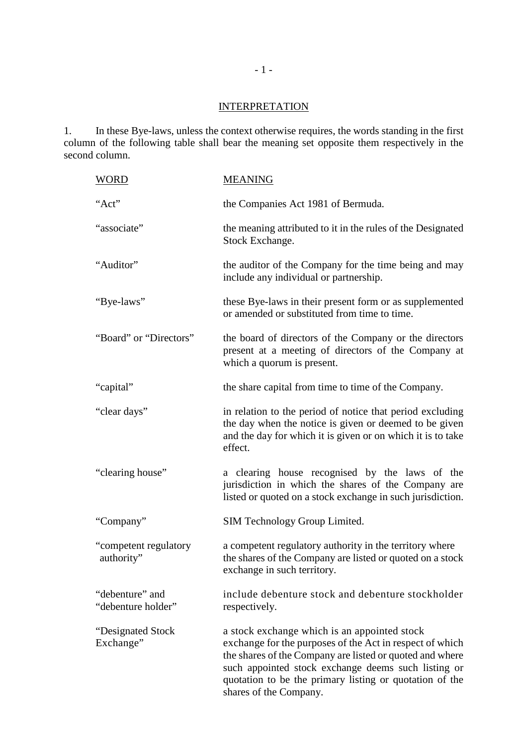# **INTERPRETATION**

1. In these Bye-laws, unless the context otherwise requires, the words standing in the first column of the following table shall bear the meaning set opposite them respectively in the second column.

| <b>WORD</b>                           | <b>MEANING</b>                                                                                                                                                                                                                                                                                                   |
|---------------------------------------|------------------------------------------------------------------------------------------------------------------------------------------------------------------------------------------------------------------------------------------------------------------------------------------------------------------|
| "Act"                                 | the Companies Act 1981 of Bermuda.                                                                                                                                                                                                                                                                               |
| "associate"                           | the meaning attributed to it in the rules of the Designated<br>Stock Exchange.                                                                                                                                                                                                                                   |
| "Auditor"                             | the auditor of the Company for the time being and may<br>include any individual or partnership.                                                                                                                                                                                                                  |
| "Bye-laws"                            | these Bye-laws in their present form or as supplemented<br>or amended or substituted from time to time.                                                                                                                                                                                                          |
| "Board" or "Directors"                | the board of directors of the Company or the directors<br>present at a meeting of directors of the Company at<br>which a quorum is present.                                                                                                                                                                      |
| "capital"                             | the share capital from time to time of the Company.                                                                                                                                                                                                                                                              |
| "clear days"                          | in relation to the period of notice that period excluding<br>the day when the notice is given or deemed to be given<br>and the day for which it is given or on which it is to take<br>effect.                                                                                                                    |
| "clearing house"                      | a clearing house recognised by the laws of the<br>jurisdiction in which the shares of the Company are<br>listed or quoted on a stock exchange in such jurisdiction.                                                                                                                                              |
| "Company"                             | SIM Technology Group Limited.                                                                                                                                                                                                                                                                                    |
| "competent regulatory<br>authority"   | a competent regulatory authority in the territory where<br>the shares of the Company are listed or quoted on a stock<br>exchange in such territory.                                                                                                                                                              |
| "debenture" and<br>"debenture holder" | include debenture stock and debenture stockholder<br>respectively.                                                                                                                                                                                                                                               |
| "Designated Stock<br>Exchange"        | a stock exchange which is an appointed stock<br>exchange for the purposes of the Act in respect of which<br>the shares of the Company are listed or quoted and where<br>such appointed stock exchange deems such listing or<br>quotation to be the primary listing or quotation of the<br>shares of the Company. |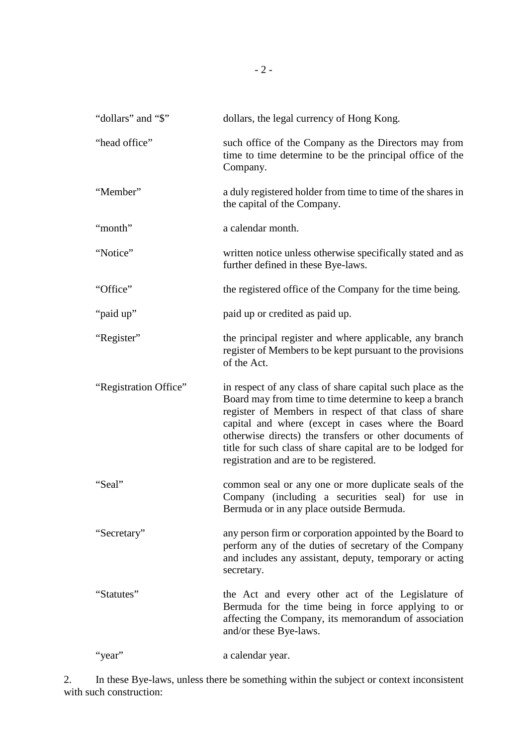| "dollars" and "\$"    | dollars, the legal currency of Hong Kong.                                                                                                                                                                                                                                                                                                                                                             |
|-----------------------|-------------------------------------------------------------------------------------------------------------------------------------------------------------------------------------------------------------------------------------------------------------------------------------------------------------------------------------------------------------------------------------------------------|
| "head office"         | such office of the Company as the Directors may from<br>time to time determine to be the principal office of the<br>Company.                                                                                                                                                                                                                                                                          |
| "Member"              | a duly registered holder from time to time of the shares in<br>the capital of the Company.                                                                                                                                                                                                                                                                                                            |
| "month"               | a calendar month.                                                                                                                                                                                                                                                                                                                                                                                     |
| "Notice"              | written notice unless otherwise specifically stated and as<br>further defined in these Bye-laws.                                                                                                                                                                                                                                                                                                      |
| "Office"              | the registered office of the Company for the time being.                                                                                                                                                                                                                                                                                                                                              |
| "paid up"             | paid up or credited as paid up.                                                                                                                                                                                                                                                                                                                                                                       |
| "Register"            | the principal register and where applicable, any branch<br>register of Members to be kept pursuant to the provisions<br>of the Act.                                                                                                                                                                                                                                                                   |
| "Registration Office" | in respect of any class of share capital such place as the<br>Board may from time to time determine to keep a branch<br>register of Members in respect of that class of share<br>capital and where (except in cases where the Board<br>otherwise directs) the transfers or other documents of<br>title for such class of share capital are to be lodged for<br>registration and are to be registered. |
| "Seal"                | common seal or any one or more duplicate seals of the<br>Company (including a securities seal) for use in<br>Bermuda or in any place outside Bermuda.                                                                                                                                                                                                                                                 |
| "Secretary"           | any person firm or corporation appointed by the Board to<br>perform any of the duties of secretary of the Company<br>and includes any assistant, deputy, temporary or acting<br>secretary.                                                                                                                                                                                                            |
| "Statutes"            | the Act and every other act of the Legislature of<br>Bermuda for the time being in force applying to or<br>affecting the Company, its memorandum of association<br>and/or these Bye-laws.                                                                                                                                                                                                             |
| 'year''               | a calendar year.                                                                                                                                                                                                                                                                                                                                                                                      |

2. In these Bye-laws, unless there be something within the subject or context inconsistent with such construction: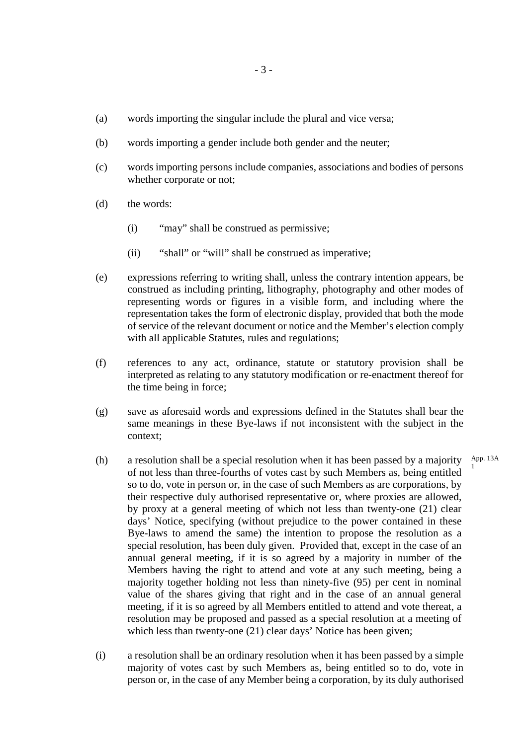- (a) words importing the singular include the plural and vice versa;
- (b) words importing a gender include both gender and the neuter;
- (c) words importing persons include companies, associations and bodies of persons whether corporate or not;
- (d) the words:
	- (i) "may" shall be construed as permissive;
	- (ii) "shall" or "will" shall be construed as imperative;
- (e) expressions referring to writing shall, unless the contrary intention appears, be construed as including printing, lithography, photography and other modes of representing words or figures in a visible form, and including where the representation takes the form of electronic display, provided that both the mode of service of the relevant document or notice and the Member's election comply with all applicable Statutes, rules and regulations;
- (f) references to any act, ordinance, statute or statutory provision shall be interpreted as relating to any statutory modification or re-enactment thereof for the time being in force;
- (g) save as aforesaid words and expressions defined in the Statutes shall bear the same meanings in these Bye-laws if not inconsistent with the subject in the context;

1

- (h) a resolution shall be a special resolution when it has been passed by a majority of not less than three-fourths of votes cast by such Members as, being entitled so to do, vote in person or, in the case of such Members as are corporations, by their respective duly authorised representative or, where proxies are allowed, by proxy at a general meeting of which not less than twenty-one (21) clear days' Notice, specifying (without prejudice to the power contained in these Bye-laws to amend the same) the intention to propose the resolution as a special resolution, has been duly given. Provided that, except in the case of an annual general meeting, if it is so agreed by a majority in number of the Members having the right to attend and vote at any such meeting, being a majority together holding not less than ninety-five (95) per cent in nominal value of the shares giving that right and in the case of an annual general meeting, if it is so agreed by all Members entitled to attend and vote thereat, a resolution may be proposed and passed as a special resolution at a meeting of which less than twenty-one (21) clear days' Notice has been given; App. 13A
- (i) a resolution shall be an ordinary resolution when it has been passed by a simple majority of votes cast by such Members as, being entitled so to do, vote in person or, in the case of any Member being a corporation, by its duly authorised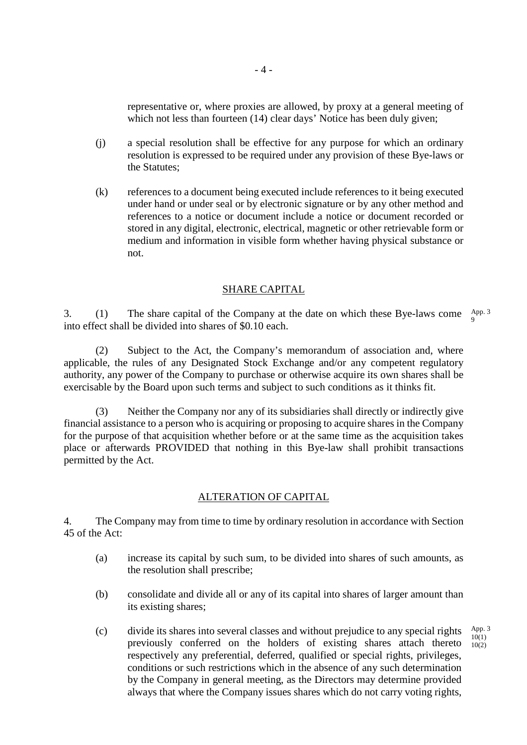representative or, where proxies are allowed, by proxy at a general meeting of which not less than fourteen (14) clear days' Notice has been duly given;

- (j) a special resolution shall be effective for any purpose for which an ordinary resolution is expressed to be required under any provision of these Bye-laws or the Statutes;
- (k) references to a document being executed include references to it being executed under hand or under seal or by electronic signature or by any other method and references to a notice or document include a notice or document recorded or stored in any digital, electronic, electrical, magnetic or other retrievable form or medium and information in visible form whether having physical substance or not.

# SHARE CAPITAL

3. (1) The share capital of the Company at the date on which these Bye-laws come  $\frac{App.3}{0}$ into effect shall be divided into shares of \$0.10 each. 9

(2) Subject to the Act, the Company's memorandum of association and, where applicable, the rules of any Designated Stock Exchange and/or any competent regulatory authority, any power of the Company to purchase or otherwise acquire its own shares shall be exercisable by the Board upon such terms and subject to such conditions as it thinks fit.

(3) Neither the Company nor any of its subsidiaries shall directly or indirectly give financial assistance to a person who is acquiring or proposing to acquire shares in the Company for the purpose of that acquisition whether before or at the same time as the acquisition takes place or afterwards PROVIDED that nothing in this Bye-law shall prohibit transactions permitted by the Act.

#### ALTERATION OF CAPITAL

4. The Company may from time to time by ordinary resolution in accordance with Section 45 of the Act:

- (a) increase its capital by such sum, to be divided into shares of such amounts, as the resolution shall prescribe;
- (b) consolidate and divide all or any of its capital into shares of larger amount than its existing shares;
- (c) divide its shares into several classes and without prejudice to any special rights previously conferred on the holders of existing shares attach thereto respectively any preferential, deferred, qualified or special rights, privileges, conditions or such restrictions which in the absence of any such determination by the Company in general meeting, as the Directors may determine provided always that where the Company issues shares which do not carry voting rights, App. 3  $10(1)$ 10(2)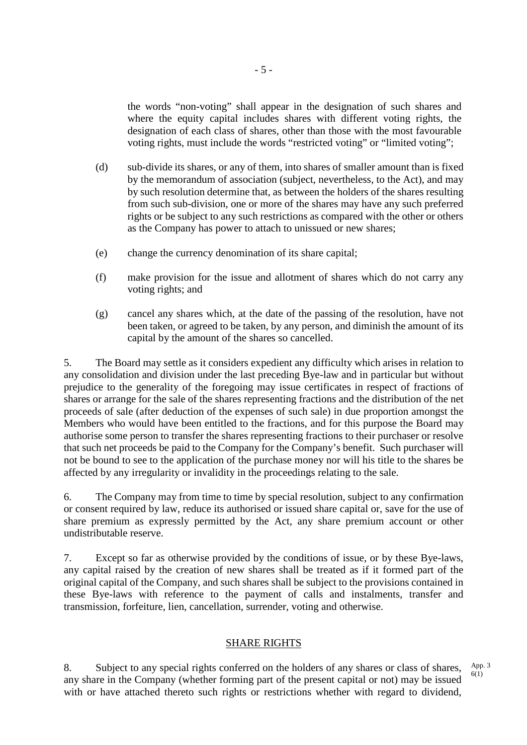the words "non-voting" shall appear in the designation of such shares and where the equity capital includes shares with different voting rights, the designation of each class of shares, other than those with the most favourable voting rights, must include the words "restricted voting" or "limited voting";

- (d) sub-divide its shares, or any of them, into shares of smaller amount than is fixed by the memorandum of association (subject, nevertheless, to the Act), and may by such resolution determine that, as between the holders of the shares resulting from such sub-division, one or more of the shares may have any such preferred rights or be subject to any such restrictions as compared with the other or others as the Company has power to attach to unissued or new shares;
- (e) change the currency denomination of its share capital;
- (f) make provision for the issue and allotment of shares which do not carry any voting rights; and
- (g) cancel any shares which, at the date of the passing of the resolution, have not been taken, or agreed to be taken, by any person, and diminish the amount of its capital by the amount of the shares so cancelled.

5. The Board may settle as it considers expedient any difficulty which arises in relation to any consolidation and division under the last preceding Bye-law and in particular but without prejudice to the generality of the foregoing may issue certificates in respect of fractions of shares or arrange for the sale of the shares representing fractions and the distribution of the net proceeds of sale (after deduction of the expenses of such sale) in due proportion amongst the Members who would have been entitled to the fractions, and for this purpose the Board may authorise some person to transfer the shares representing fractions to their purchaser or resolve that such net proceeds be paid to the Company for the Company's benefit. Such purchaser will not be bound to see to the application of the purchase money nor will his title to the shares be affected by any irregularity or invalidity in the proceedings relating to the sale.

6. The Company may from time to time by special resolution, subject to any confirmation or consent required by law, reduce its authorised or issued share capital or, save for the use of share premium as expressly permitted by the Act, any share premium account or other undistributable reserve.

7. Except so far as otherwise provided by the conditions of issue, or by these Bye-laws, any capital raised by the creation of new shares shall be treated as if it formed part of the original capital of the Company, and such shares shall be subject to the provisions contained in these Bye-laws with reference to the payment of calls and instalments, transfer and transmission, forfeiture, lien, cancellation, surrender, voting and otherwise.

#### SHARE RIGHTS

8. Subject to any special rights conferred on the holders of any shares or class of shares, any share in the Company (whether forming part of the present capital or not) may be issued with or have attached thereto such rights or restrictions whether with regard to dividend, App. 3 6(1)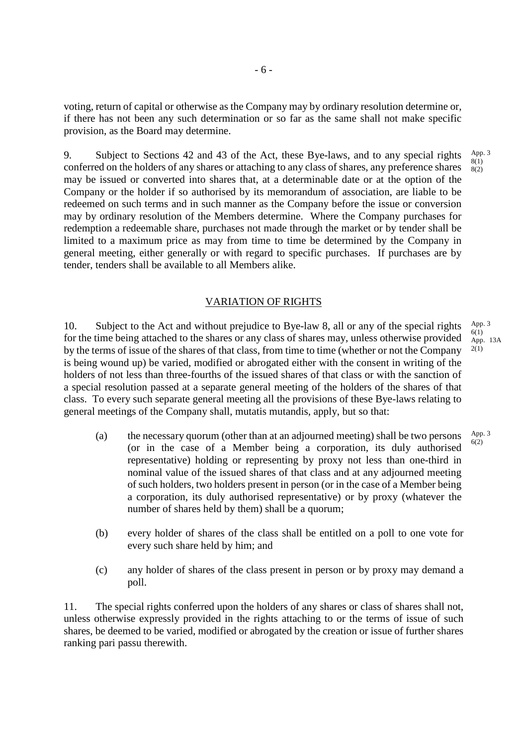voting, return of capital or otherwise as the Company may by ordinary resolution determine or, if there has not been any such determination or so far as the same shall not make specific provision, as the Board may determine.

9. Subject to Sections 42 and 43 of the Act, these Bye-laws, and to any special rights conferred on the holders of any shares or attaching to any class of shares, any preference shares may be issued or converted into shares that, at a determinable date or at the option of the Company or the holder if so authorised by its memorandum of association, are liable to be redeemed on such terms and in such manner as the Company before the issue or conversion may by ordinary resolution of the Members determine. Where the Company purchases for redemption a redeemable share, purchases not made through the market or by tender shall be limited to a maximum price as may from time to time be determined by the Company in general meeting, either generally or with regard to specific purchases. If purchases are by tender, tenders shall be available to all Members alike.

## VARIATION OF RIGHTS

10. Subject to the Act and without prejudice to Bye-law 8, all or any of the special rights for the time being attached to the shares or any class of shares may, unless otherwise provided by the terms of issue of the shares of that class, from time to time (whether or not the Company is being wound up) be varied, modified or abrogated either with the consent in writing of the holders of not less than three-fourths of the issued shares of that class or with the sanction of a special resolution passed at a separate general meeting of the holders of the shares of that class. To every such separate general meeting all the provisions of these Bye-laws relating to general meetings of the Company shall, mutatis mutandis, apply, but so that: 2(1)

- (a) the necessary quorum (other than at an adjourned meeting) shall be two persons (or in the case of a Member being a corporation, its duly authorised representative) holding or representing by proxy not less than one-third in nominal value of the issued shares of that class and at any adjourned meeting of such holders, two holders present in person (or in the case of a Member being a corporation, its duly authorised representative) or by proxy (whatever the number of shares held by them) shall be a quorum;  $6(2)$
- (b) every holder of shares of the class shall be entitled on a poll to one vote for every such share held by him; and
- (c) any holder of shares of the class present in person or by proxy may demand a poll.

11. The special rights conferred upon the holders of any shares or class of shares shall not, unless otherwise expressly provided in the rights attaching to or the terms of issue of such shares, be deemed to be varied, modified or abrogated by the creation or issue of further shares ranking pari passu therewith.

App. 3  $6(1)$ App. 13A

App. 3  $8(1)$  $8(2)$ 

App. 3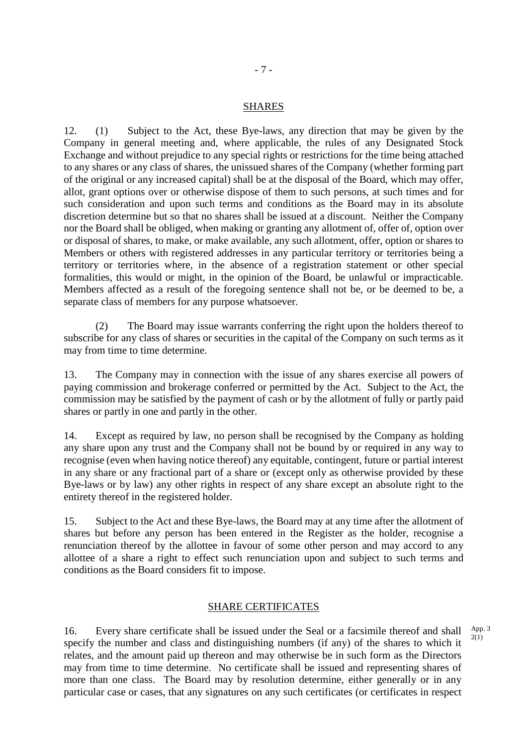#### SHARES

12. (1) Subject to the Act, these Bye-laws, any direction that may be given by the Company in general meeting and, where applicable, the rules of any Designated Stock Exchange and without prejudice to any special rights or restrictions for the time being attached to any shares or any class of shares, the unissued shares of the Company (whether forming part of the original or any increased capital) shall be at the disposal of the Board, which may offer, allot, grant options over or otherwise dispose of them to such persons, at such times and for such consideration and upon such terms and conditions as the Board may in its absolute discretion determine but so that no shares shall be issued at a discount. Neither the Company nor the Board shall be obliged, when making or granting any allotment of, offer of, option over or disposal of shares, to make, or make available, any such allotment, offer, option or shares to Members or others with registered addresses in any particular territory or territories being a territory or territories where, in the absence of a registration statement or other special formalities, this would or might, in the opinion of the Board, be unlawful or impracticable. Members affected as a result of the foregoing sentence shall not be, or be deemed to be, a separate class of members for any purpose whatsoever.

(2) The Board may issue warrants conferring the right upon the holders thereof to subscribe for any class of shares or securities in the capital of the Company on such terms as it may from time to time determine.

13. The Company may in connection with the issue of any shares exercise all powers of paying commission and brokerage conferred or permitted by the Act. Subject to the Act, the commission may be satisfied by the payment of cash or by the allotment of fully or partly paid shares or partly in one and partly in the other.

14. Except as required by law, no person shall be recognised by the Company as holding any share upon any trust and the Company shall not be bound by or required in any way to recognise (even when having notice thereof) any equitable, contingent, future or partial interest in any share or any fractional part of a share or (except only as otherwise provided by these Bye-laws or by law) any other rights in respect of any share except an absolute right to the entirety thereof in the registered holder.

15. Subject to the Act and these Bye-laws, the Board may at any time after the allotment of shares but before any person has been entered in the Register as the holder, recognise a renunciation thereof by the allottee in favour of some other person and may accord to any allottee of a share a right to effect such renunciation upon and subject to such terms and conditions as the Board considers fit to impose.

## SHARE CERTIFICATES

16. Every share certificate shall be issued under the Seal or a facsimile thereof and shall specify the number and class and distinguishing numbers (if any) of the shares to which it relates, and the amount paid up thereon and may otherwise be in such form as the Directors may from time to time determine. No certificate shall be issued and representing shares of more than one class. The Board may by resolution determine, either generally or in any particular case or cases, that any signatures on any such certificates (or certificates in respect App. 3 2(1)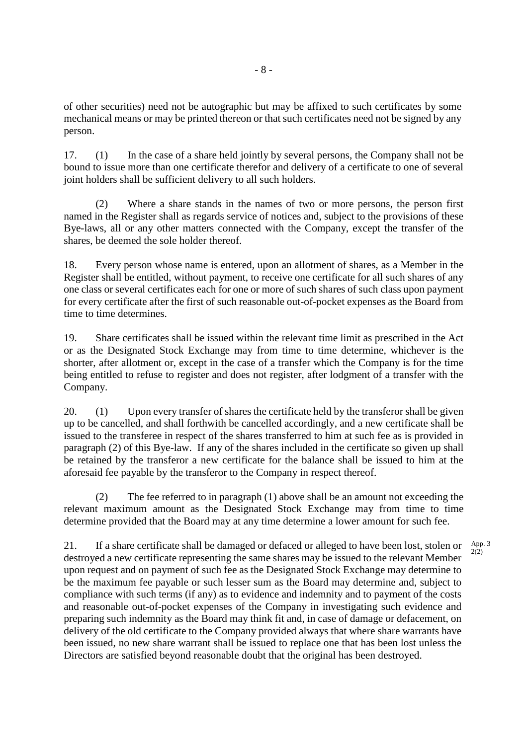of other securities) need not be autographic but may be affixed to such certificates by some mechanical means or may be printed thereon or that such certificates need not be signed by any person.

17. (1) In the case of a share held jointly by several persons, the Company shall not be bound to issue more than one certificate therefor and delivery of a certificate to one of several joint holders shall be sufficient delivery to all such holders.

(2) Where a share stands in the names of two or more persons, the person first named in the Register shall as regards service of notices and, subject to the provisions of these Bye-laws, all or any other matters connected with the Company, except the transfer of the shares, be deemed the sole holder thereof.

18. Every person whose name is entered, upon an allotment of shares, as a Member in the Register shall be entitled, without payment, to receive one certificate for all such shares of any one class or several certificates each for one or more of such shares of such class upon payment for every certificate after the first of such reasonable out-of-pocket expenses as the Board from time to time determines.

19. Share certificates shall be issued within the relevant time limit as prescribed in the Act or as the Designated Stock Exchange may from time to time determine, whichever is the shorter, after allotment or, except in the case of a transfer which the Company is for the time being entitled to refuse to register and does not register, after lodgment of a transfer with the Company.

20. (1) Upon every transfer of shares the certificate held by the transferor shall be given up to be cancelled, and shall forthwith be cancelled accordingly, and a new certificate shall be issued to the transferee in respect of the shares transferred to him at such fee as is provided in paragraph (2) of this Bye-law. If any of the shares included in the certificate so given up shall be retained by the transferor a new certificate for the balance shall be issued to him at the aforesaid fee payable by the transferor to the Company in respect thereof.

(2) The fee referred to in paragraph (1) above shall be an amount not exceeding the relevant maximum amount as the Designated Stock Exchange may from time to time determine provided that the Board may at any time determine a lower amount for such fee.

21. If a share certificate shall be damaged or defaced or alleged to have been lost, stolen or destroyed a new certificate representing the same shares may be issued to the relevant Member upon request and on payment of such fee as the Designated Stock Exchange may determine to be the maximum fee payable or such lesser sum as the Board may determine and, subject to compliance with such terms (if any) as to evidence and indemnity and to payment of the costs and reasonable out-of-pocket expenses of the Company in investigating such evidence and preparing such indemnity as the Board may think fit and, in case of damage or defacement, on delivery of the old certificate to the Company provided always that where share warrants have been issued, no new share warrant shall be issued to replace one that has been lost unless the Directors are satisfied beyond reasonable doubt that the original has been destroyed. App. 3  $2(2)$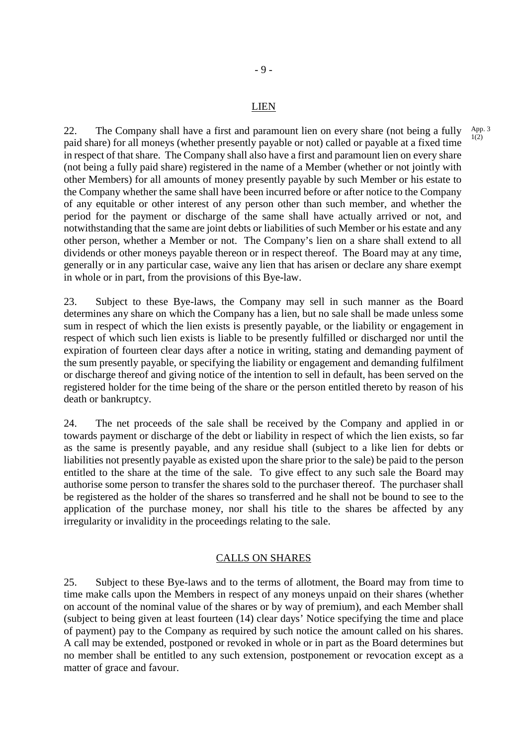#### LIEN

- 9 -

22. The Company shall have a first and paramount lien on every share (not being a fully paid share) for all moneys (whether presently payable or not) called or payable at a fixed time in respect of that share. The Company shall also have a first and paramount lien on every share (not being a fully paid share) registered in the name of a Member (whether or not jointly with other Members) for all amounts of money presently payable by such Member or his estate to the Company whether the same shall have been incurred before or after notice to the Company of any equitable or other interest of any person other than such member, and whether the period for the payment or discharge of the same shall have actually arrived or not, and notwithstanding that the same are joint debts or liabilities of such Member or his estate and any other person, whether a Member or not. The Company's lien on a share shall extend to all dividends or other moneys payable thereon or in respect thereof. The Board may at any time, generally or in any particular case, waive any lien that has arisen or declare any share exempt in whole or in part, from the provisions of this Bye-law.

23. Subject to these Bye-laws, the Company may sell in such manner as the Board determines any share on which the Company has a lien, but no sale shall be made unless some sum in respect of which the lien exists is presently payable, or the liability or engagement in respect of which such lien exists is liable to be presently fulfilled or discharged nor until the expiration of fourteen clear days after a notice in writing, stating and demanding payment of the sum presently payable, or specifying the liability or engagement and demanding fulfilment or discharge thereof and giving notice of the intention to sell in default, has been served on the registered holder for the time being of the share or the person entitled thereto by reason of his death or bankruptcy.

24. The net proceeds of the sale shall be received by the Company and applied in or towards payment or discharge of the debt or liability in respect of which the lien exists, so far as the same is presently payable, and any residue shall (subject to a like lien for debts or liabilities not presently payable as existed upon the share prior to the sale) be paid to the person entitled to the share at the time of the sale. To give effect to any such sale the Board may authorise some person to transfer the shares sold to the purchaser thereof. The purchaser shall be registered as the holder of the shares so transferred and he shall not be bound to see to the application of the purchase money, nor shall his title to the shares be affected by any irregularity or invalidity in the proceedings relating to the sale.

## CALLS ON SHARES

25. Subject to these Bye-laws and to the terms of allotment, the Board may from time to time make calls upon the Members in respect of any moneys unpaid on their shares (whether on account of the nominal value of the shares or by way of premium), and each Member shall (subject to being given at least fourteen (14) clear days' Notice specifying the time and place of payment) pay to the Company as required by such notice the amount called on his shares. A call may be extended, postponed or revoked in whole or in part as the Board determines but no member shall be entitled to any such extension, postponement or revocation except as a matter of grace and favour.

1(2)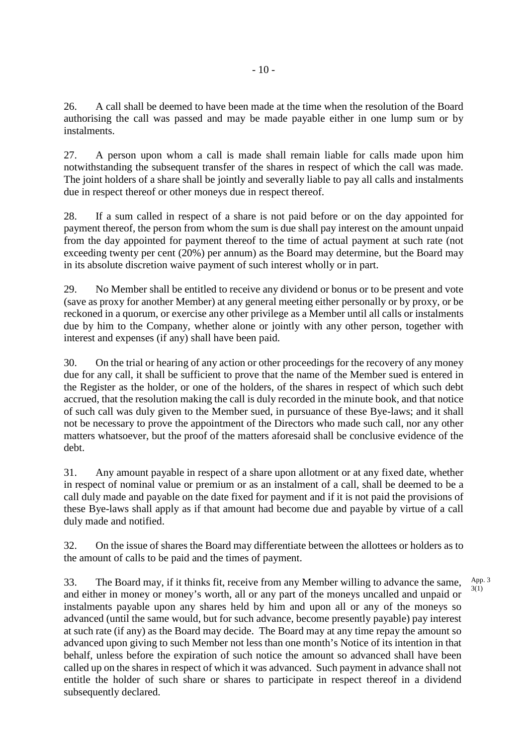26. A call shall be deemed to have been made at the time when the resolution of the Board authorising the call was passed and may be made payable either in one lump sum or by instalments.

27. A person upon whom a call is made shall remain liable for calls made upon him notwithstanding the subsequent transfer of the shares in respect of which the call was made. The joint holders of a share shall be jointly and severally liable to pay all calls and instalments due in respect thereof or other moneys due in respect thereof.

28. If a sum called in respect of a share is not paid before or on the day appointed for payment thereof, the person from whom the sum is due shall pay interest on the amount unpaid from the day appointed for payment thereof to the time of actual payment at such rate (not exceeding twenty per cent (20%) per annum) as the Board may determine, but the Board may in its absolute discretion waive payment of such interest wholly or in part.

29. No Member shall be entitled to receive any dividend or bonus or to be present and vote (save as proxy for another Member) at any general meeting either personally or by proxy, or be reckoned in a quorum, or exercise any other privilege as a Member until all calls or instalments due by him to the Company, whether alone or jointly with any other person, together with interest and expenses (if any) shall have been paid.

30. On the trial or hearing of any action or other proceedings for the recovery of any money due for any call, it shall be sufficient to prove that the name of the Member sued is entered in the Register as the holder, or one of the holders, of the shares in respect of which such debt accrued, that the resolution making the call is duly recorded in the minute book, and that notice of such call was duly given to the Member sued, in pursuance of these Bye-laws; and it shall not be necessary to prove the appointment of the Directors who made such call, nor any other matters whatsoever, but the proof of the matters aforesaid shall be conclusive evidence of the debt.

31. Any amount payable in respect of a share upon allotment or at any fixed date, whether in respect of nominal value or premium or as an instalment of a call, shall be deemed to be a call duly made and payable on the date fixed for payment and if it is not paid the provisions of these Bye-laws shall apply as if that amount had become due and payable by virtue of a call duly made and notified.

32. On the issue of shares the Board may differentiate between the allottees or holders as to the amount of calls to be paid and the times of payment.

> App. 3 3(1)

33. The Board may, if it thinks fit, receive from any Member willing to advance the same, and either in money or money's worth, all or any part of the moneys uncalled and unpaid or instalments payable upon any shares held by him and upon all or any of the moneys so advanced (until the same would, but for such advance, become presently payable) pay interest at such rate (if any) as the Board may decide. The Board may at any time repay the amount so advanced upon giving to such Member not less than one month's Notice of its intention in that behalf, unless before the expiration of such notice the amount so advanced shall have been called up on the shares in respect of which it was advanced. Such payment in advance shall not entitle the holder of such share or shares to participate in respect thereof in a dividend subsequently declared.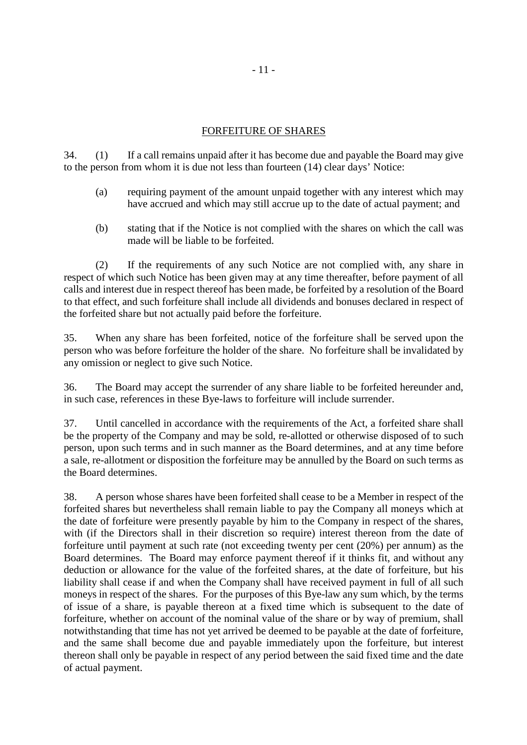# FORFEITURE OF SHARES

34. (1) If a call remains unpaid after it has become due and payable the Board may give to the person from whom it is due not less than fourteen (14) clear days' Notice:

- (a) requiring payment of the amount unpaid together with any interest which may have accrued and which may still accrue up to the date of actual payment; and
- (b) stating that if the Notice is not complied with the shares on which the call was made will be liable to be forfeited.

(2) If the requirements of any such Notice are not complied with, any share in respect of which such Notice has been given may at any time thereafter, before payment of all calls and interest due in respect thereof has been made, be forfeited by a resolution of the Board to that effect, and such forfeiture shall include all dividends and bonuses declared in respect of the forfeited share but not actually paid before the forfeiture.

35. When any share has been forfeited, notice of the forfeiture shall be served upon the person who was before forfeiture the holder of the share. No forfeiture shall be invalidated by any omission or neglect to give such Notice.

36. The Board may accept the surrender of any share liable to be forfeited hereunder and, in such case, references in these Bye-laws to forfeiture will include surrender.

37. Until cancelled in accordance with the requirements of the Act, a forfeited share shall be the property of the Company and may be sold, re-allotted or otherwise disposed of to such person, upon such terms and in such manner as the Board determines, and at any time before a sale, re-allotment or disposition the forfeiture may be annulled by the Board on such terms as the Board determines.

38. A person whose shares have been forfeited shall cease to be a Member in respect of the forfeited shares but nevertheless shall remain liable to pay the Company all moneys which at the date of forfeiture were presently payable by him to the Company in respect of the shares, with (if the Directors shall in their discretion so require) interest thereon from the date of forfeiture until payment at such rate (not exceeding twenty per cent (20%) per annum) as the Board determines. The Board may enforce payment thereof if it thinks fit, and without any deduction or allowance for the value of the forfeited shares, at the date of forfeiture, but his liability shall cease if and when the Company shall have received payment in full of all such moneys in respect of the shares. For the purposes of this Bye-law any sum which, by the terms of issue of a share, is payable thereon at a fixed time which is subsequent to the date of forfeiture, whether on account of the nominal value of the share or by way of premium, shall notwithstanding that time has not yet arrived be deemed to be payable at the date of forfeiture, and the same shall become due and payable immediately upon the forfeiture, but interest thereon shall only be payable in respect of any period between the said fixed time and the date of actual payment.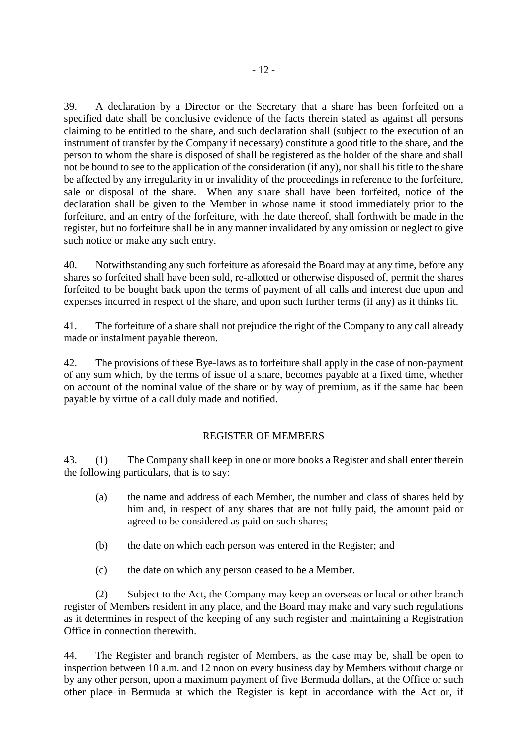39. A declaration by a Director or the Secretary that a share has been forfeited on a specified date shall be conclusive evidence of the facts therein stated as against all persons claiming to be entitled to the share, and such declaration shall (subject to the execution of an instrument of transfer by the Company if necessary) constitute a good title to the share, and the person to whom the share is disposed of shall be registered as the holder of the share and shall not be bound to see to the application of the consideration (if any), nor shall his title to the share be affected by any irregularity in or invalidity of the proceedings in reference to the forfeiture, sale or disposal of the share. When any share shall have been forfeited, notice of the declaration shall be given to the Member in whose name it stood immediately prior to the forfeiture, and an entry of the forfeiture, with the date thereof, shall forthwith be made in the register, but no forfeiture shall be in any manner invalidated by any omission or neglect to give such notice or make any such entry.

40. Notwithstanding any such forfeiture as aforesaid the Board may at any time, before any shares so forfeited shall have been sold, re-allotted or otherwise disposed of, permit the shares forfeited to be bought back upon the terms of payment of all calls and interest due upon and expenses incurred in respect of the share, and upon such further terms (if any) as it thinks fit.

41. The forfeiture of a share shall not prejudice the right of the Company to any call already made or instalment payable thereon.

42. The provisions of these Bye-laws as to forfeiture shall apply in the case of non-payment of any sum which, by the terms of issue of a share, becomes payable at a fixed time, whether on account of the nominal value of the share or by way of premium, as if the same had been payable by virtue of a call duly made and notified.

# REGISTER OF MEMBERS

43. (1) The Company shall keep in one or more books a Register and shall enter therein the following particulars, that is to say:

- (a) the name and address of each Member, the number and class of shares held by him and, in respect of any shares that are not fully paid, the amount paid or agreed to be considered as paid on such shares;
- (b) the date on which each person was entered in the Register; and
- (c) the date on which any person ceased to be a Member.

(2) Subject to the Act, the Company may keep an overseas or local or other branch register of Members resident in any place, and the Board may make and vary such regulations as it determines in respect of the keeping of any such register and maintaining a Registration Office in connection therewith.

44. The Register and branch register of Members, as the case may be, shall be open to inspection between 10 a.m. and 12 noon on every business day by Members without charge or by any other person, upon a maximum payment of five Bermuda dollars, at the Office or such other place in Bermuda at which the Register is kept in accordance with the Act or, if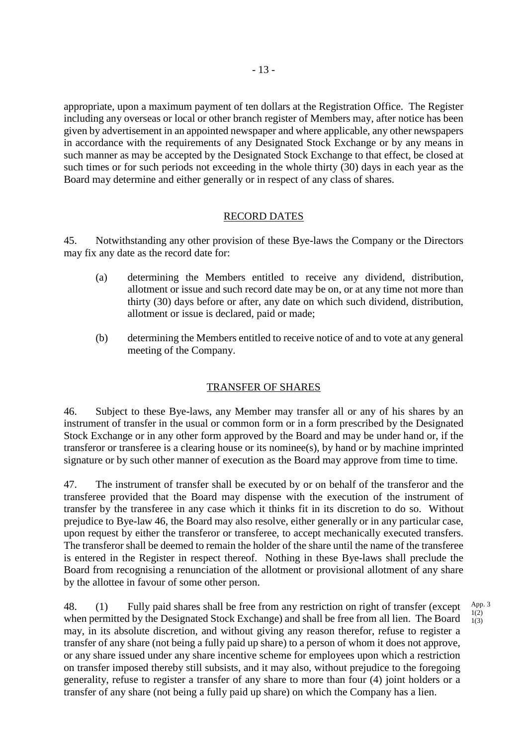appropriate, upon a maximum payment of ten dollars at the Registration Office. The Register including any overseas or local or other branch register of Members may, after notice has been given by advertisement in an appointed newspaper and where applicable, any other newspapers in accordance with the requirements of any Designated Stock Exchange or by any means in such manner as may be accepted by the Designated Stock Exchange to that effect, be closed at such times or for such periods not exceeding in the whole thirty (30) days in each year as the Board may determine and either generally or in respect of any class of shares.

# RECORD DATES

45. Notwithstanding any other provision of these Bye-laws the Company or the Directors may fix any date as the record date for:

- (a) determining the Members entitled to receive any dividend, distribution, allotment or issue and such record date may be on, or at any time not more than thirty (30) days before or after, any date on which such dividend, distribution, allotment or issue is declared, paid or made;
- (b) determining the Members entitled to receive notice of and to vote at any general meeting of the Company.

# TRANSFER OF SHARES

46. Subject to these Bye-laws, any Member may transfer all or any of his shares by an instrument of transfer in the usual or common form or in a form prescribed by the Designated Stock Exchange or in any other form approved by the Board and may be under hand or, if the transferor or transferee is a clearing house or its nominee(s), by hand or by machine imprinted signature or by such other manner of execution as the Board may approve from time to time.

47. The instrument of transfer shall be executed by or on behalf of the transferor and the transferee provided that the Board may dispense with the execution of the instrument of transfer by the transferee in any case which it thinks fit in its discretion to do so. Without prejudice to Bye-law 46, the Board may also resolve, either generally or in any particular case, upon request by either the transferor or transferee, to accept mechanically executed transfers. The transferor shall be deemed to remain the holder of the share until the name of the transferee is entered in the Register in respect thereof. Nothing in these Bye-laws shall preclude the Board from recognising a renunciation of the allotment or provisional allotment of any share by the allottee in favour of some other person.

48. (1) Fully paid shares shall be free from any restriction on right of transfer (except when permitted by the Designated Stock Exchange) and shall be free from all lien. The Board may, in its absolute discretion, and without giving any reason therefor, refuse to register a transfer of any share (not being a fully paid up share) to a person of whom it does not approve, or any share issued under any share incentive scheme for employees upon which a restriction on transfer imposed thereby still subsists, and it may also, without prejudice to the foregoing generality, refuse to register a transfer of any share to more than four (4) joint holders or a transfer of any share (not being a fully paid up share) on which the Company has a lien.

App. 3  $1(2)$ 1(3)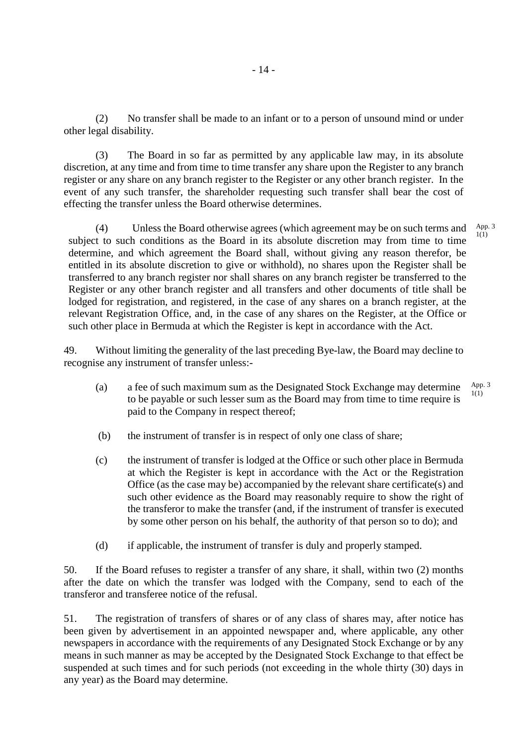(2) No transfer shall be made to an infant or to a person of unsound mind or under other legal disability.

(3) The Board in so far as permitted by any applicable law may, in its absolute discretion, at any time and from time to time transfer any share upon the Register to any branch register or any share on any branch register to the Register or any other branch register. In the event of any such transfer, the shareholder requesting such transfer shall bear the cost of effecting the transfer unless the Board otherwise determines.

(4) Unless the Board otherwise agrees (which agreement may be on such terms and subject to such conditions as the Board in its absolute discretion may from time to time determine, and which agreement the Board shall, without giving any reason therefor, be entitled in its absolute discretion to give or withhold), no shares upon the Register shall be transferred to any branch register nor shall shares on any branch register be transferred to the Register or any other branch register and all transfers and other documents of title shall be lodged for registration, and registered, in the case of any shares on a branch register, at the relevant Registration Office, and, in the case of any shares on the Register, at the Office or such other place in Bermuda at which the Register is kept in accordance with the Act. App. 3 1(1)

49. Without limiting the generality of the last preceding Bye-law, the Board may decline to recognise any instrument of transfer unless:-

- (a) a fee of such maximum sum as the Designated Stock Exchange may determine to be payable or such lesser sum as the Board may from time to time require is paid to the Company in respect thereof; App. 3 1(1)
- (b) the instrument of transfer is in respect of only one class of share;
- (c) the instrument of transfer is lodged at the Office or such other place in Bermuda at which the Register is kept in accordance with the Act or the Registration Office (as the case may be) accompanied by the relevant share certificate(s) and such other evidence as the Board may reasonably require to show the right of the transferor to make the transfer (and, if the instrument of transfer is executed by some other person on his behalf, the authority of that person so to do); and
- (d) if applicable, the instrument of transfer is duly and properly stamped.

50. If the Board refuses to register a transfer of any share, it shall, within two (2) months after the date on which the transfer was lodged with the Company, send to each of the transferor and transferee notice of the refusal.

51. The registration of transfers of shares or of any class of shares may, after notice has been given by advertisement in an appointed newspaper and, where applicable, any other newspapers in accordance with the requirements of any Designated Stock Exchange or by any means in such manner as may be accepted by the Designated Stock Exchange to that effect be suspended at such times and for such periods (not exceeding in the whole thirty (30) days in any year) as the Board may determine.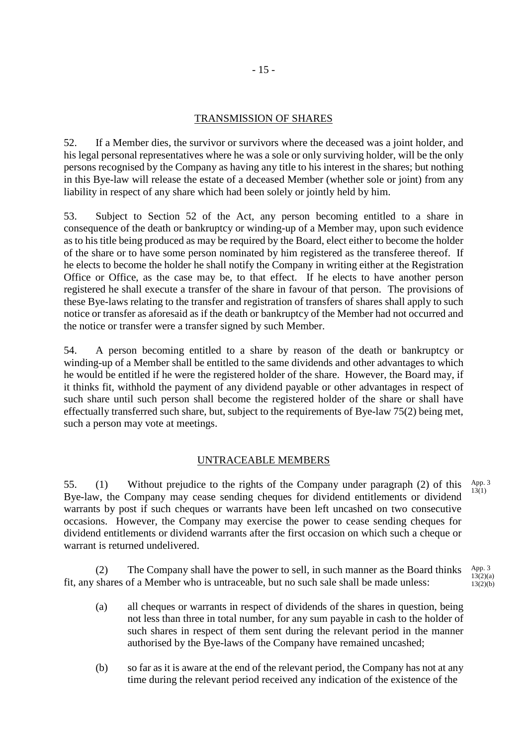## TRANSMISSION OF SHARES

52. If a Member dies, the survivor or survivors where the deceased was a joint holder, and his legal personal representatives where he was a sole or only surviving holder, will be the only persons recognised by the Company as having any title to his interest in the shares; but nothing in this Bye-law will release the estate of a deceased Member (whether sole or joint) from any liability in respect of any share which had been solely or jointly held by him.

53. Subject to Section 52 of the Act, any person becoming entitled to a share in consequence of the death or bankruptcy or winding-up of a Member may, upon such evidence as to his title being produced as may be required by the Board, elect either to become the holder of the share or to have some person nominated by him registered as the transferee thereof. If he elects to become the holder he shall notify the Company in writing either at the Registration Office or Office, as the case may be, to that effect. If he elects to have another person registered he shall execute a transfer of the share in favour of that person. The provisions of these Bye-laws relating to the transfer and registration of transfers of shares shall apply to such notice or transfer as aforesaid as if the death or bankruptcy of the Member had not occurred and the notice or transfer were a transfer signed by such Member.

54. A person becoming entitled to a share by reason of the death or bankruptcy or winding-up of a Member shall be entitled to the same dividends and other advantages to which he would be entitled if he were the registered holder of the share. However, the Board may, if it thinks fit, withhold the payment of any dividend payable or other advantages in respect of such share until such person shall become the registered holder of the share or shall have effectually transferred such share, but, subject to the requirements of Bye-law 75(2) being met, such a person may vote at meetings.

# UNTRACEABLE MEMBERS

55. (1) Without prejudice to the rights of the Company under paragraph (2) of this Bye-law, the Company may cease sending cheques for dividend entitlements or dividend warrants by post if such cheques or warrants have been left uncashed on two consecutive occasions. However, the Company may exercise the power to cease sending cheques for dividend entitlements or dividend warrants after the first occasion on which such a cheque or warrant is returned undelivered. App. 3  $13(1)$ 

 (2) The Company shall have the power to sell, in such manner as the Board thinks fit, any shares of a Member who is untraceable, but no such sale shall be made unless: App. 3  $13(2)(a)$  $13(2)(b)$ 

- (a) all cheques or warrants in respect of dividends of the shares in question, being not less than three in total number, for any sum payable in cash to the holder of such shares in respect of them sent during the relevant period in the manner authorised by the Bye-laws of the Company have remained uncashed;
- (b) so far as it is aware at the end of the relevant period, the Company has not at any time during the relevant period received any indication of the existence of the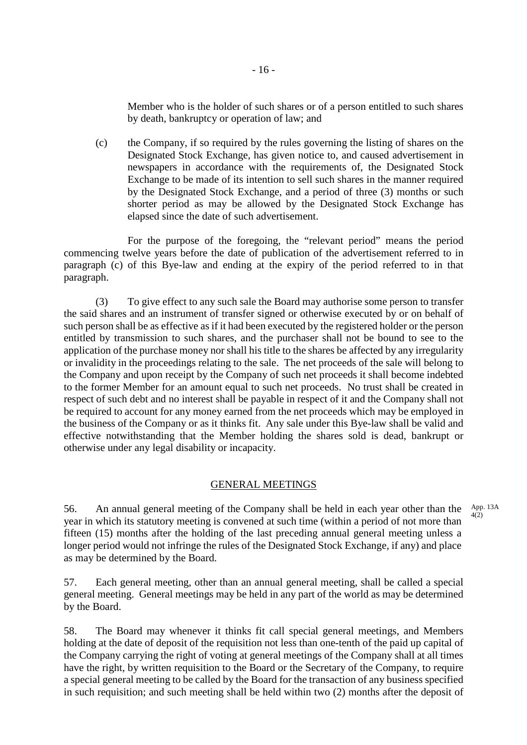Member who is the holder of such shares or of a person entitled to such shares by death, bankruptcy or operation of law; and

(c) the Company, if so required by the rules governing the listing of shares on the Designated Stock Exchange, has given notice to, and caused advertisement in newspapers in accordance with the requirements of, the Designated Stock Exchange to be made of its intention to sell such shares in the manner required by the Designated Stock Exchange, and a period of three (3) months or such shorter period as may be allowed by the Designated Stock Exchange has elapsed since the date of such advertisement.

For the purpose of the foregoing, the "relevant period" means the period commencing twelve years before the date of publication of the advertisement referred to in paragraph (c) of this Bye-law and ending at the expiry of the period referred to in that paragraph.

(3) To give effect to any such sale the Board may authorise some person to transfer the said shares and an instrument of transfer signed or otherwise executed by or on behalf of such person shall be as effective as if it had been executed by the registered holder or the person entitled by transmission to such shares, and the purchaser shall not be bound to see to the application of the purchase money nor shall his title to the shares be affected by any irregularity or invalidity in the proceedings relating to the sale. The net proceeds of the sale will belong to the Company and upon receipt by the Company of such net proceeds it shall become indebted to the former Member for an amount equal to such net proceeds. No trust shall be created in respect of such debt and no interest shall be payable in respect of it and the Company shall not be required to account for any money earned from the net proceeds which may be employed in the business of the Company or as it thinks fit. Any sale under this Bye-law shall be valid and effective notwithstanding that the Member holding the shares sold is dead, bankrupt or otherwise under any legal disability or incapacity.

#### GENERAL MEETINGS

56. An annual general meeting of the Company shall be held in each year other than the year in which its statutory meeting is convened at such time (within a period of not more than fifteen (15) months after the holding of the last preceding annual general meeting unless a longer period would not infringe the rules of the Designated Stock Exchange, if any) and place as may be determined by the Board. App. 13A 4(2)

57. Each general meeting, other than an annual general meeting, shall be called a special general meeting. General meetings may be held in any part of the world as may be determined by the Board.

58. The Board may whenever it thinks fit call special general meetings, and Members holding at the date of deposit of the requisition not less than one-tenth of the paid up capital of the Company carrying the right of voting at general meetings of the Company shall at all times have the right, by written requisition to the Board or the Secretary of the Company, to require a special general meeting to be called by the Board for the transaction of any business specified in such requisition; and such meeting shall be held within two (2) months after the deposit of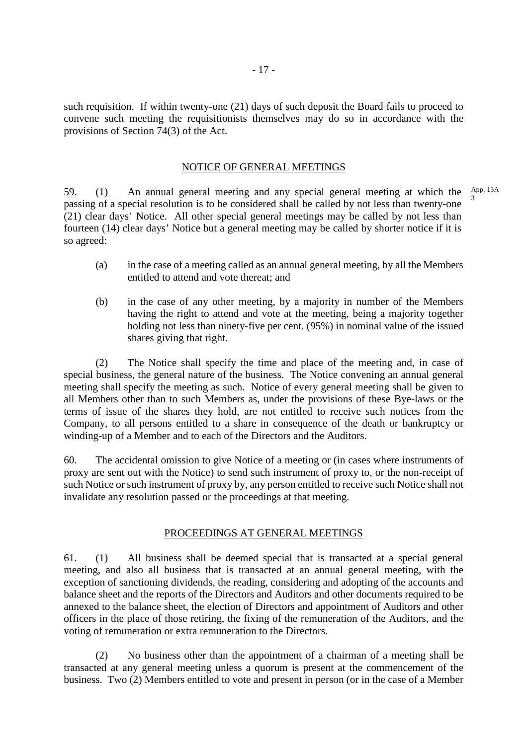such requisition. If within twenty-one (21) days of such deposit the Board fails to proceed to convene such meeting the requisitionists themselves may do so in accordance with the provisions of Section 74(3) of the Act.

#### NOTICE OF GENERAL MEETINGS

59. (1) An annual general meeting and any special general meeting at which the  $\frac{App. 13A}{2}$ passing of a special resolution is to be considered shall be called by not less than twenty-one (21) clear days' Notice. All other special general meetings may be called by not less than fourteen (14) clear days' Notice but a general meeting may be called by shorter notice if it is so agreed: 3

- (a) in the case of a meeting called as an annual general meeting, by all the Members entitled to attend and vote thereat; and
- (b) in the case of any other meeting, by a majority in number of the Members having the right to attend and vote at the meeting, being a majority together holding not less than ninety-five per cent. (95%) in nominal value of the issued shares giving that right.

(2) The Notice shall specify the time and place of the meeting and, in case of special business, the general nature of the business. The Notice convening an annual general meeting shall specify the meeting as such. Notice of every general meeting shall be given to all Members other than to such Members as, under the provisions of these Bye-laws or the terms of issue of the shares they hold, are not entitled to receive such notices from the Company, to all persons entitled to a share in consequence of the death or bankruptcy or winding-up of a Member and to each of the Directors and the Auditors.

60. The accidental omission to give Notice of a meeting or (in cases where instruments of proxy are sent out with the Notice) to send such instrument of proxy to, or the non-receipt of such Notice or such instrument of proxy by, any person entitled to receive such Notice shall not invalidate any resolution passed or the proceedings at that meeting.

#### PROCEEDINGS AT GENERAL MEETINGS

61. (1) All business shall be deemed special that is transacted at a special general meeting, and also all business that is transacted at an annual general meeting, with the exception of sanctioning dividends, the reading, considering and adopting of the accounts and balance sheet and the reports of the Directors and Auditors and other documents required to be annexed to the balance sheet, the election of Directors and appointment of Auditors and other officers in the place of those retiring, the fixing of the remuneration of the Auditors, and the voting of remuneration or extra remuneration to the Directors.

(2) No business other than the appointment of a chairman of a meeting shall be transacted at any general meeting unless a quorum is present at the commencement of the business. Two (2) Members entitled to vote and present in person (or in the case of a Member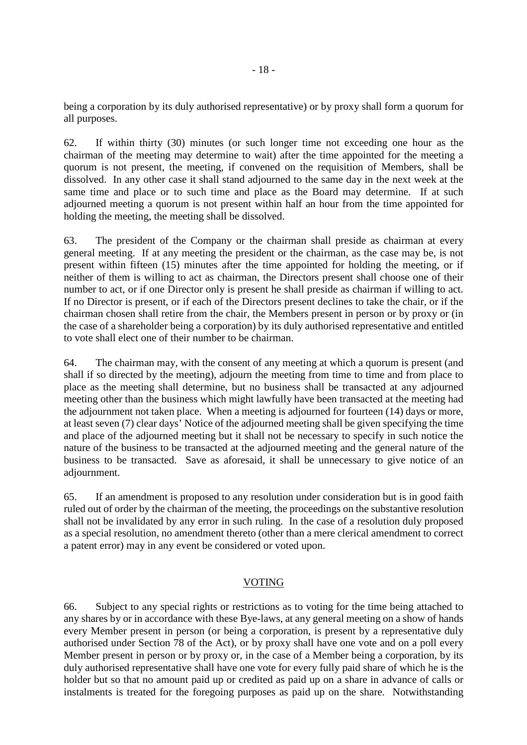being a corporation by its duly authorised representative) or by proxy shall form a quorum for all purposes.

62. If within thirty (30) minutes (or such longer time not exceeding one hour as the chairman of the meeting may determine to wait) after the time appointed for the meeting a quorum is not present, the meeting, if convened on the requisition of Members, shall be dissolved. In any other case it shall stand adjourned to the same day in the next week at the same time and place or to such time and place as the Board may determine. If at such adjourned meeting a quorum is not present within half an hour from the time appointed for holding the meeting, the meeting shall be dissolved.

63. The president of the Company or the chairman shall preside as chairman at every general meeting. If at any meeting the president or the chairman, as the case may be, is not present within fifteen (15) minutes after the time appointed for holding the meeting, or if neither of them is willing to act as chairman, the Directors present shall choose one of their number to act, or if one Director only is present he shall preside as chairman if willing to act. If no Director is present, or if each of the Directors present declines to take the chair, or if the chairman chosen shall retire from the chair, the Members present in person or by proxy or (in the case of a shareholder being a corporation) by its duly authorised representative and entitled to vote shall elect one of their number to be chairman.

64. The chairman may, with the consent of any meeting at which a quorum is present (and shall if so directed by the meeting), adjourn the meeting from time to time and from place to place as the meeting shall determine, but no business shall be transacted at any adjourned meeting other than the business which might lawfully have been transacted at the meeting had the adjournment not taken place. When a meeting is adjourned for fourteen (14) days or more, at least seven (7) clear days' Notice of the adjourned meeting shall be given specifying the time and place of the adjourned meeting but it shall not be necessary to specify in such notice the nature of the business to be transacted at the adjourned meeting and the general nature of the business to be transacted. Save as aforesaid, it shall be unnecessary to give notice of an adjournment.

65. If an amendment is proposed to any resolution under consideration but is in good faith ruled out of order by the chairman of the meeting, the proceedings on the substantive resolution shall not be invalidated by any error in such ruling. In the case of a resolution duly proposed as a special resolution, no amendment thereto (other than a mere clerical amendment to correct a patent error) may in any event be considered or voted upon.

# VOTING

66. Subject to any special rights or restrictions as to voting for the time being attached to any shares by or in accordance with these Bye-laws, at any general meeting on a show of hands every Member present in person (or being a corporation, is present by a representative duly authorised under Section 78 of the Act), or by proxy shall have one vote and on a poll every Member present in person or by proxy or, in the case of a Member being a corporation, by its duly authorised representative shall have one vote for every fully paid share of which he is the holder but so that no amount paid up or credited as paid up on a share in advance of calls or instalments is treated for the foregoing purposes as paid up on the share. Notwithstanding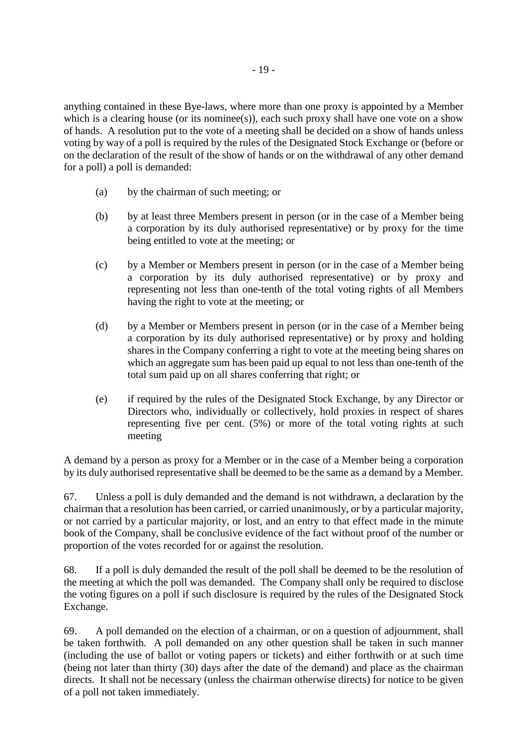anything contained in these Bye-laws, where more than one proxy is appointed by a Member which is a clearing house (or its nominee(s)), each such proxy shall have one vote on a show of hands. A resolution put to the vote of a meeting shall be decided on a show of hands unless voting by way of a poll is required by the rules of the Designated Stock Exchange or (before or on the declaration of the result of the show of hands or on the withdrawal of any other demand for a poll) a poll is demanded:

- (a) by the chairman of such meeting; or
- (b) by at least three Members present in person (or in the case of a Member being a corporation by its duly authorised representative) or by proxy for the time being entitled to vote at the meeting; or
- (c) by a Member or Members present in person (or in the case of a Member being a corporation by its duly authorised representative) or by proxy and representing not less than one-tenth of the total voting rights of all Members having the right to vote at the meeting; or
- (d) by a Member or Members present in person (or in the case of a Member being a corporation by its duly authorised representative) or by proxy and holding shares in the Company conferring a right to vote at the meeting being shares on which an aggregate sum has been paid up equal to not less than one-tenth of the total sum paid up on all shares conferring that right; or
- (e) if required by the rules of the Designated Stock Exchange, by any Director or Directors who, individually or collectively, hold proxies in respect of shares representing five per cent. (5%) or more of the total voting rights at such meeting

A demand by a person as proxy for a Member or in the case of a Member being a corporation by its duly authorised representative shall be deemed to be the same as a demand by a Member.

67. Unless a poll is duly demanded and the demand is not withdrawn, a declaration by the chairman that a resolution has been carried, or carried unanimously, or by a particular majority, or not carried by a particular majority, or lost, and an entry to that effect made in the minute book of the Company, shall be conclusive evidence of the fact without proof of the number or proportion of the votes recorded for or against the resolution.

68. If a poll is duly demanded the result of the poll shall be deemed to be the resolution of the meeting at which the poll was demanded. The Company shall only be required to disclose the voting figures on a poll if such disclosure is required by the rules of the Designated Stock Exchange.

69. A poll demanded on the election of a chairman, or on a question of adjournment, shall be taken forthwith. A poll demanded on any other question shall be taken in such manner (including the use of ballot or voting papers or tickets) and either forthwith or at such time (being not later than thirty (30) days after the date of the demand) and place as the chairman directs. It shall not be necessary (unless the chairman otherwise directs) for notice to be given of a poll not taken immediately.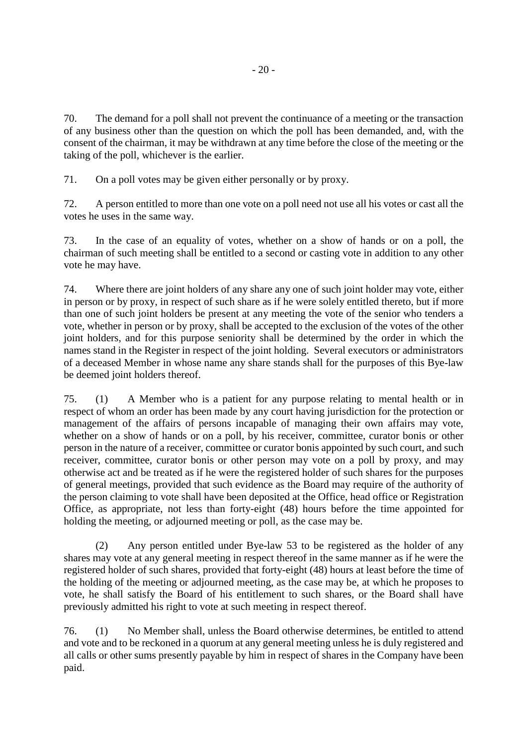70. The demand for a poll shall not prevent the continuance of a meeting or the transaction of any business other than the question on which the poll has been demanded, and, with the consent of the chairman, it may be withdrawn at any time before the close of the meeting or the taking of the poll, whichever is the earlier.

71. On a poll votes may be given either personally or by proxy.

72. A person entitled to more than one vote on a poll need not use all his votes or cast all the votes he uses in the same way.

73. In the case of an equality of votes, whether on a show of hands or on a poll, the chairman of such meeting shall be entitled to a second or casting vote in addition to any other vote he may have.

74. Where there are joint holders of any share any one of such joint holder may vote, either in person or by proxy, in respect of such share as if he were solely entitled thereto, but if more than one of such joint holders be present at any meeting the vote of the senior who tenders a vote, whether in person or by proxy, shall be accepted to the exclusion of the votes of the other joint holders, and for this purpose seniority shall be determined by the order in which the names stand in the Register in respect of the joint holding. Several executors or administrators of a deceased Member in whose name any share stands shall for the purposes of this Bye-law be deemed joint holders thereof.

75. (1) A Member who is a patient for any purpose relating to mental health or in respect of whom an order has been made by any court having jurisdiction for the protection or management of the affairs of persons incapable of managing their own affairs may vote, whether on a show of hands or on a poll, by his receiver, committee, curator bonis or other person in the nature of a receiver, committee or curator bonis appointed by such court, and such receiver, committee, curator bonis or other person may vote on a poll by proxy, and may otherwise act and be treated as if he were the registered holder of such shares for the purposes of general meetings, provided that such evidence as the Board may require of the authority of the person claiming to vote shall have been deposited at the Office, head office or Registration Office, as appropriate, not less than forty-eight (48) hours before the time appointed for holding the meeting, or adjourned meeting or poll, as the case may be.

(2) Any person entitled under Bye-law 53 to be registered as the holder of any shares may vote at any general meeting in respect thereof in the same manner as if he were the registered holder of such shares, provided that forty-eight (48) hours at least before the time of the holding of the meeting or adjourned meeting, as the case may be, at which he proposes to vote, he shall satisfy the Board of his entitlement to such shares, or the Board shall have previously admitted his right to vote at such meeting in respect thereof.

76. (1) No Member shall, unless the Board otherwise determines, be entitled to attend and vote and to be reckoned in a quorum at any general meeting unless he is duly registered and all calls or other sums presently payable by him in respect of shares in the Company have been paid.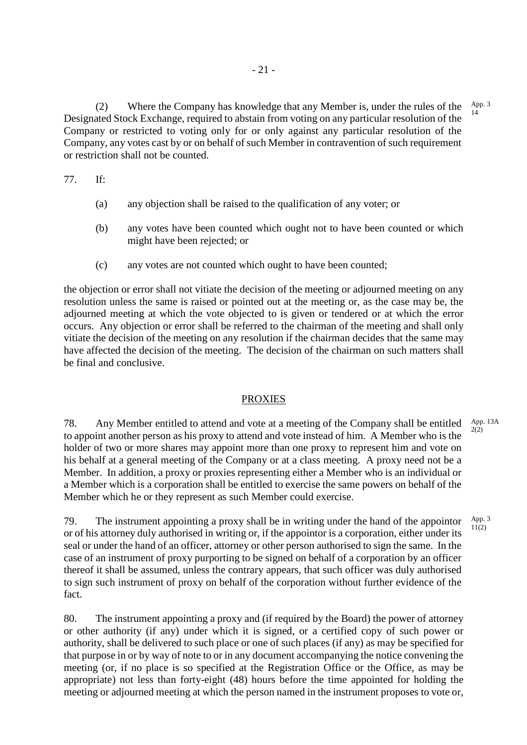(2) Where the Company has knowledge that any Member is, under the rules of the Designated Stock Exchange, required to abstain from voting on any particular resolution of the Company or restricted to voting only for or only against any particular resolution of the Company, any votes cast by or on behalf of such Member in contravention of such requirement or restriction shall not be counted. App. 3 14

77. If:

- (a) any objection shall be raised to the qualification of any voter; or
- (b) any votes have been counted which ought not to have been counted or which might have been rejected; or
- (c) any votes are not counted which ought to have been counted;

the objection or error shall not vitiate the decision of the meeting or adjourned meeting on any resolution unless the same is raised or pointed out at the meeting or, as the case may be, the adjourned meeting at which the vote objected to is given or tendered or at which the error occurs. Any objection or error shall be referred to the chairman of the meeting and shall only vitiate the decision of the meeting on any resolution if the chairman decides that the same may have affected the decision of the meeting. The decision of the chairman on such matters shall be final and conclusive.

#### PROXIES

78. Any Member entitled to attend and vote at a meeting of the Company shall be entitled to appoint another person as his proxy to attend and vote instead of him. A Member who is the holder of two or more shares may appoint more than one proxy to represent him and vote on his behalf at a general meeting of the Company or at a class meeting. A proxy need not be a Member. In addition, a proxy or proxies representing either a Member who is an individual or a Member which is a corporation shall be entitled to exercise the same powers on behalf of the Member which he or they represent as such Member could exercise.  $2(2)$ 

79. The instrument appointing a proxy shall be in writing under the hand of the appointor or of his attorney duly authorised in writing or, if the appointor is a corporation, either under its seal or under the hand of an officer, attorney or other person authorised to sign the same. In the case of an instrument of proxy purporting to be signed on behalf of a corporation by an officer thereof it shall be assumed, unless the contrary appears, that such officer was duly authorised to sign such instrument of proxy on behalf of the corporation without further evidence of the fact. App. 3  $11(2)$ 

80. The instrument appointing a proxy and (if required by the Board) the power of attorney or other authority (if any) under which it is signed, or a certified copy of such power or authority, shall be delivered to such place or one of such places (if any) as may be specified for that purpose in or by way of note to or in any document accompanying the notice convening the meeting (or, if no place is so specified at the Registration Office or the Office, as may be appropriate) not less than forty-eight (48) hours before the time appointed for holding the meeting or adjourned meeting at which the person named in the instrument proposes to vote or,

App. 13A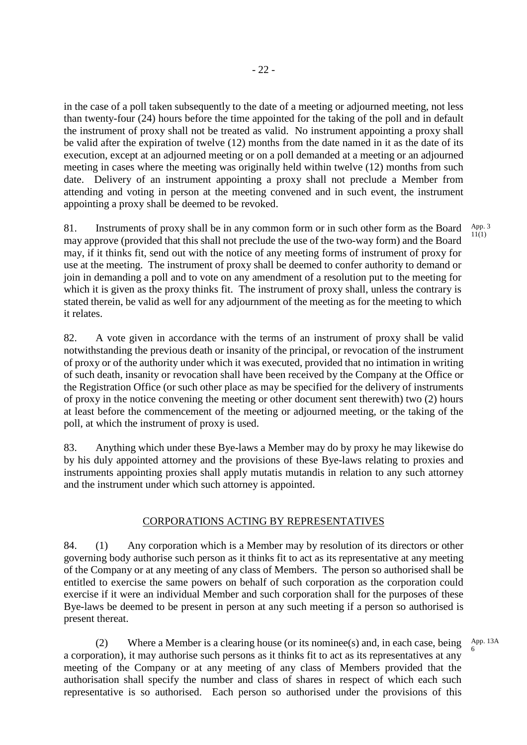in the case of a poll taken subsequently to the date of a meeting or adjourned meeting, not less than twenty-four (24) hours before the time appointed for the taking of the poll and in default the instrument of proxy shall not be treated as valid. No instrument appointing a proxy shall be valid after the expiration of twelve (12) months from the date named in it as the date of its execution, except at an adjourned meeting or on a poll demanded at a meeting or an adjourned meeting in cases where the meeting was originally held within twelve (12) months from such date. Delivery of an instrument appointing a proxy shall not preclude a Member from attending and voting in person at the meeting convened and in such event, the instrument appointing a proxy shall be deemed to be revoked.

81. Instruments of proxy shall be in any common form or in such other form as the Board may approve (provided that this shall not preclude the use of the two-way form) and the Board may, if it thinks fit, send out with the notice of any meeting forms of instrument of proxy for use at the meeting. The instrument of proxy shall be deemed to confer authority to demand or join in demanding a poll and to vote on any amendment of a resolution put to the meeting for which it is given as the proxy thinks fit. The instrument of proxy shall, unless the contrary is stated therein, be valid as well for any adjournment of the meeting as for the meeting to which it relates. App. 3 11(1)

82. A vote given in accordance with the terms of an instrument of proxy shall be valid notwithstanding the previous death or insanity of the principal, or revocation of the instrument of proxy or of the authority under which it was executed, provided that no intimation in writing of such death, insanity or revocation shall have been received by the Company at the Office or the Registration Office (or such other place as may be specified for the delivery of instruments of proxy in the notice convening the meeting or other document sent therewith) two (2) hours at least before the commencement of the meeting or adjourned meeting, or the taking of the poll, at which the instrument of proxy is used.

83. Anything which under these Bye-laws a Member may do by proxy he may likewise do by his duly appointed attorney and the provisions of these Bye-laws relating to proxies and instruments appointing proxies shall apply mutatis mutandis in relation to any such attorney and the instrument under which such attorney is appointed.

# CORPORATIONS ACTING BY REPRESENTATIVES

84. (1) Any corporation which is a Member may by resolution of its directors or other governing body authorise such person as it thinks fit to act as its representative at any meeting of the Company or at any meeting of any class of Members. The person so authorised shall be entitled to exercise the same powers on behalf of such corporation as the corporation could exercise if it were an individual Member and such corporation shall for the purposes of these Bye-laws be deemed to be present in person at any such meeting if a person so authorised is present thereat.

(2) Where a Member is a clearing house (or its nominee(s) and, in each case, being a corporation), it may authorise such persons as it thinks fit to act as its representatives at any meeting of the Company or at any meeting of any class of Members provided that the authorisation shall specify the number and class of shares in respect of which each such representative is so authorised. Each person so authorised under the provisions of this App. 13A 6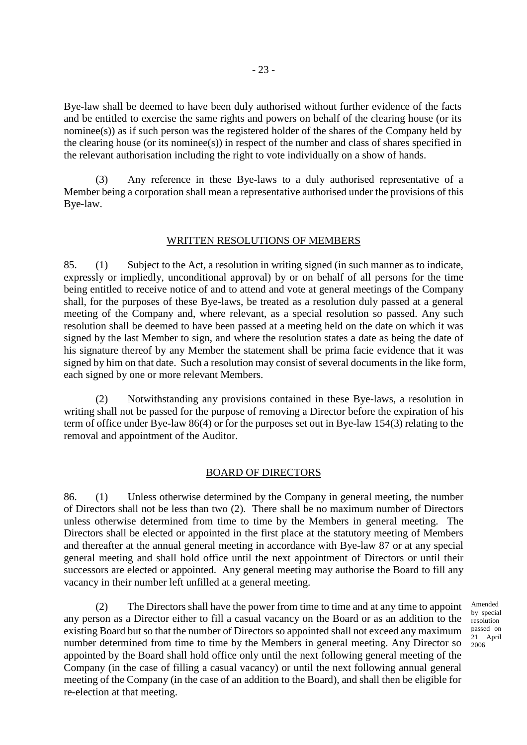Bye-law shall be deemed to have been duly authorised without further evidence of the facts and be entitled to exercise the same rights and powers on behalf of the clearing house (or its nominee(s)) as if such person was the registered holder of the shares of the Company held by the clearing house (or its nominee(s)) in respect of the number and class of shares specified in the relevant authorisation including the right to vote individually on a show of hands.

(3) Any reference in these Bye-laws to a duly authorised representative of a Member being a corporation shall mean a representative authorised under the provisions of this Bye-law.

# WRITTEN RESOLUTIONS OF MEMBERS

85. (1) Subject to the Act, a resolution in writing signed (in such manner as to indicate, expressly or impliedly, unconditional approval) by or on behalf of all persons for the time being entitled to receive notice of and to attend and vote at general meetings of the Company shall, for the purposes of these Bye-laws, be treated as a resolution duly passed at a general meeting of the Company and, where relevant, as a special resolution so passed. Any such resolution shall be deemed to have been passed at a meeting held on the date on which it was signed by the last Member to sign, and where the resolution states a date as being the date of his signature thereof by any Member the statement shall be prima facie evidence that it was signed by him on that date. Such a resolution may consist of several documents in the like form, each signed by one or more relevant Members.

(2) Notwithstanding any provisions contained in these Bye-laws, a resolution in writing shall not be passed for the purpose of removing a Director before the expiration of his term of office under Bye-law 86(4) or for the purposes set out in Bye-law 154(3) relating to the removal and appointment of the Auditor.

#### BOARD OF DIRECTORS

86. (1) Unless otherwise determined by the Company in general meeting, the number of Directors shall not be less than two (2). There shall be no maximum number of Directors unless otherwise determined from time to time by the Members in general meeting. The Directors shall be elected or appointed in the first place at the statutory meeting of Members and thereafter at the annual general meeting in accordance with Bye-law 87 or at any special general meeting and shall hold office until the next appointment of Directors or until their successors are elected or appointed. Any general meeting may authorise the Board to fill any vacancy in their number left unfilled at a general meeting.

 (2) The Directors shall have the power from time to time and at any time to appoint any person as a Director either to fill a casual vacancy on the Board or as an addition to the existing Board but so that the number of Directors so appointed shall not exceed any maximum number determined from time to time by the Members in general meeting. Any Director so appointed by the Board shall hold office only until the next following general meeting of the Company (in the case of filling a casual vacancy) or until the next following annual general meeting of the Company (in the case of an addition to the Board), and shall then be eligible for re-election at that meeting.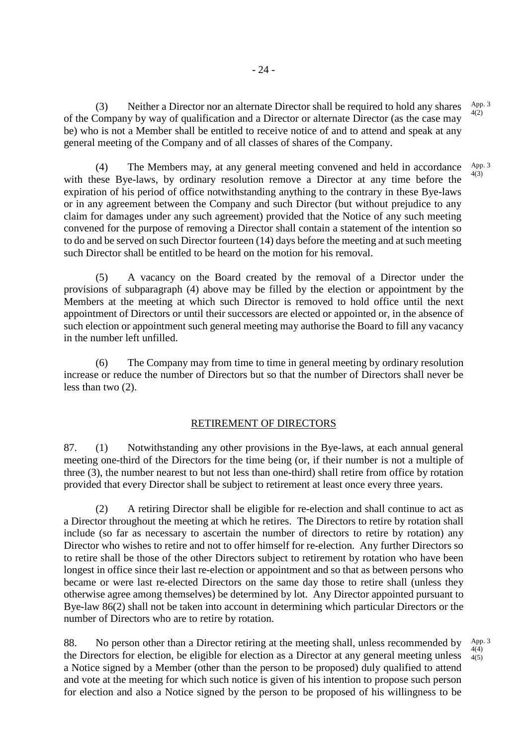(3) Neither a Director nor an alternate Director shall be required to hold any shares of the Company by way of qualification and a Director or alternate Director (as the case may be) who is not a Member shall be entitled to receive notice of and to attend and speak at any general meeting of the Company and of all classes of shares of the Company. App. 3  $4(2)$ 

 (4) The Members may, at any general meeting convened and held in accordance with these Bye-laws, by ordinary resolution remove a Director at any time before the expiration of his period of office notwithstanding anything to the contrary in these Bye-laws or in any agreement between the Company and such Director (but without prejudice to any claim for damages under any such agreement) provided that the Notice of any such meeting convened for the purpose of removing a Director shall contain a statement of the intention so to do and be served on such Director fourteen (14) days before the meeting and at such meeting such Director shall be entitled to be heard on the motion for his removal. App. 3 4(3)

(5) A vacancy on the Board created by the removal of a Director under the provisions of subparagraph (4) above may be filled by the election or appointment by the Members at the meeting at which such Director is removed to hold office until the next appointment of Directors or until their successors are elected or appointed or, in the absence of such election or appointment such general meeting may authorise the Board to fill any vacancy in the number left unfilled.

(6) The Company may from time to time in general meeting by ordinary resolution increase or reduce the number of Directors but so that the number of Directors shall never be less than two (2).

# RETIREMENT OF DIRECTORS

87. (1) Notwithstanding any other provisions in the Bye-laws, at each annual general meeting one-third of the Directors for the time being (or, if their number is not a multiple of three (3), the number nearest to but not less than one-third) shall retire from office by rotation provided that every Director shall be subject to retirement at least once every three years.

(2) A retiring Director shall be eligible for re-election and shall continue to act as a Director throughout the meeting at which he retires. The Directors to retire by rotation shall include (so far as necessary to ascertain the number of directors to retire by rotation) any Director who wishes to retire and not to offer himself for re-election. Any further Directors so to retire shall be those of the other Directors subject to retirement by rotation who have been longest in office since their last re-election or appointment and so that as between persons who became or were last re-elected Directors on the same day those to retire shall (unless they otherwise agree among themselves) be determined by lot. Any Director appointed pursuant to Bye-law 86(2) shall not be taken into account in determining which particular Directors or the number of Directors who are to retire by rotation.

88. No person other than a Director retiring at the meeting shall, unless recommended by the Directors for election, be eligible for election as a Director at any general meeting unless a Notice signed by a Member (other than the person to be proposed) duly qualified to attend and vote at the meeting for which such notice is given of his intention to propose such person for election and also a Notice signed by the person to be proposed of his willingness to be App. 3 4(4) 4(5)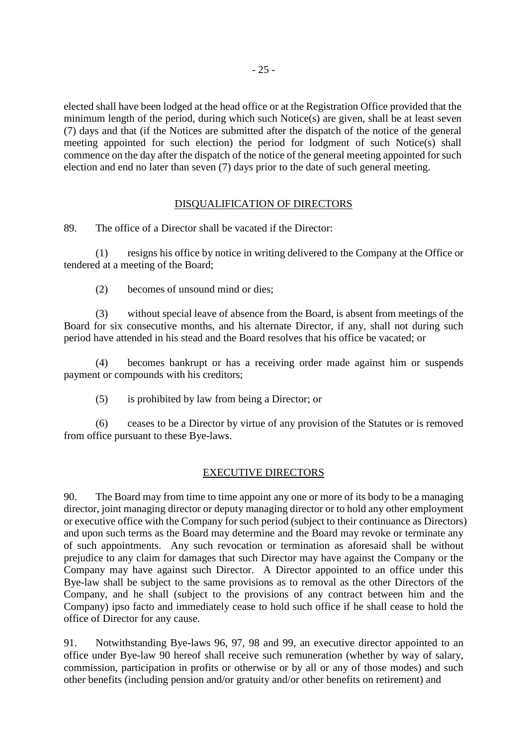elected shall have been lodged at the head office or at the Registration Office provided that the minimum length of the period, during which such Notice(s) are given, shall be at least seven (7) days and that (if the Notices are submitted after the dispatch of the notice of the general meeting appointed for such election) the period for lodgment of such Notice(s) shall commence on the day after the dispatch of the notice of the general meeting appointed for such election and end no later than seven (7) days prior to the date of such general meeting.

## DISQUALIFICATION OF DIRECTORS

89. The office of a Director shall be vacated if the Director:

(1) resigns his office by notice in writing delivered to the Company at the Office or tendered at a meeting of the Board;

(2) becomes of unsound mind or dies;

(3) without special leave of absence from the Board, is absent from meetings of the Board for six consecutive months, and his alternate Director, if any, shall not during such period have attended in his stead and the Board resolves that his office be vacated; or

(4) becomes bankrupt or has a receiving order made against him or suspends payment or compounds with his creditors;

(5) is prohibited by law from being a Director; or

(6) ceases to be a Director by virtue of any provision of the Statutes or is removed from office pursuant to these Bye-laws.

#### EXECUTIVE DIRECTORS

90. The Board may from time to time appoint any one or more of its body to be a managing director, joint managing director or deputy managing director or to hold any other employment or executive office with the Company for such period (subject to their continuance as Directors) and upon such terms as the Board may determine and the Board may revoke or terminate any of such appointments. Any such revocation or termination as aforesaid shall be without prejudice to any claim for damages that such Director may have against the Company or the Company may have against such Director. A Director appointed to an office under this Bye-law shall be subject to the same provisions as to removal as the other Directors of the Company, and he shall (subject to the provisions of any contract between him and the Company) ipso facto and immediately cease to hold such office if he shall cease to hold the office of Director for any cause.

91. Notwithstanding Bye-laws 96, 97, 98 and 99, an executive director appointed to an office under Bye-law 90 hereof shall receive such remuneration (whether by way of salary, commission, participation in profits or otherwise or by all or any of those modes) and such other benefits (including pension and/or gratuity and/or other benefits on retirement) and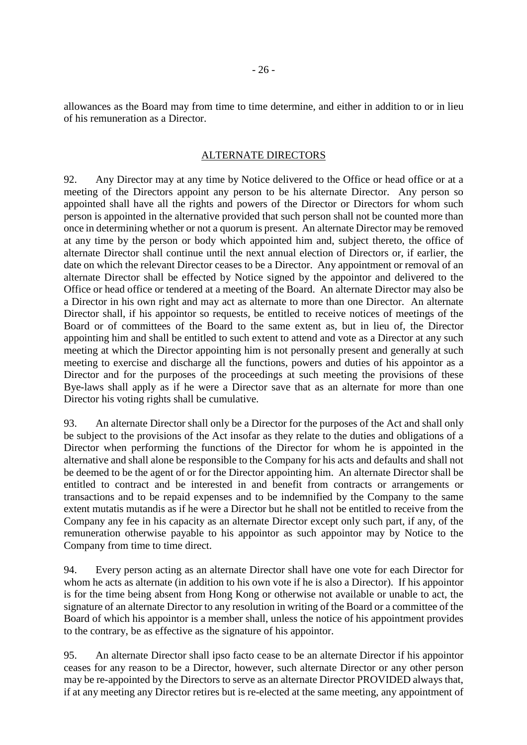allowances as the Board may from time to time determine, and either in addition to or in lieu of his remuneration as a Director.

#### ALTERNATE DIRECTORS

92. Any Director may at any time by Notice delivered to the Office or head office or at a meeting of the Directors appoint any person to be his alternate Director. Any person so appointed shall have all the rights and powers of the Director or Directors for whom such person is appointed in the alternative provided that such person shall not be counted more than once in determining whether or not a quorum is present. An alternate Director may be removed at any time by the person or body which appointed him and, subject thereto, the office of alternate Director shall continue until the next annual election of Directors or, if earlier, the date on which the relevant Director ceases to be a Director. Any appointment or removal of an alternate Director shall be effected by Notice signed by the appointor and delivered to the Office or head office or tendered at a meeting of the Board. An alternate Director may also be a Director in his own right and may act as alternate to more than one Director. An alternate Director shall, if his appointor so requests, be entitled to receive notices of meetings of the Board or of committees of the Board to the same extent as, but in lieu of, the Director appointing him and shall be entitled to such extent to attend and vote as a Director at any such meeting at which the Director appointing him is not personally present and generally at such meeting to exercise and discharge all the functions, powers and duties of his appointor as a Director and for the purposes of the proceedings at such meeting the provisions of these Bye-laws shall apply as if he were a Director save that as an alternate for more than one Director his voting rights shall be cumulative.

93. An alternate Director shall only be a Director for the purposes of the Act and shall only be subject to the provisions of the Act insofar as they relate to the duties and obligations of a Director when performing the functions of the Director for whom he is appointed in the alternative and shall alone be responsible to the Company for his acts and defaults and shall not be deemed to be the agent of or for the Director appointing him. An alternate Director shall be entitled to contract and be interested in and benefit from contracts or arrangements or transactions and to be repaid expenses and to be indemnified by the Company to the same extent mutatis mutandis as if he were a Director but he shall not be entitled to receive from the Company any fee in his capacity as an alternate Director except only such part, if any, of the remuneration otherwise payable to his appointor as such appointor may by Notice to the Company from time to time direct.

94. Every person acting as an alternate Director shall have one vote for each Director for whom he acts as alternate (in addition to his own vote if he is also a Director). If his appointor is for the time being absent from Hong Kong or otherwise not available or unable to act, the signature of an alternate Director to any resolution in writing of the Board or a committee of the Board of which his appointor is a member shall, unless the notice of his appointment provides to the contrary, be as effective as the signature of his appointor.

95. An alternate Director shall ipso facto cease to be an alternate Director if his appointor ceases for any reason to be a Director, however, such alternate Director or any other person may be re-appointed by the Directors to serve as an alternate Director PROVIDED always that, if at any meeting any Director retires but is re-elected at the same meeting, any appointment of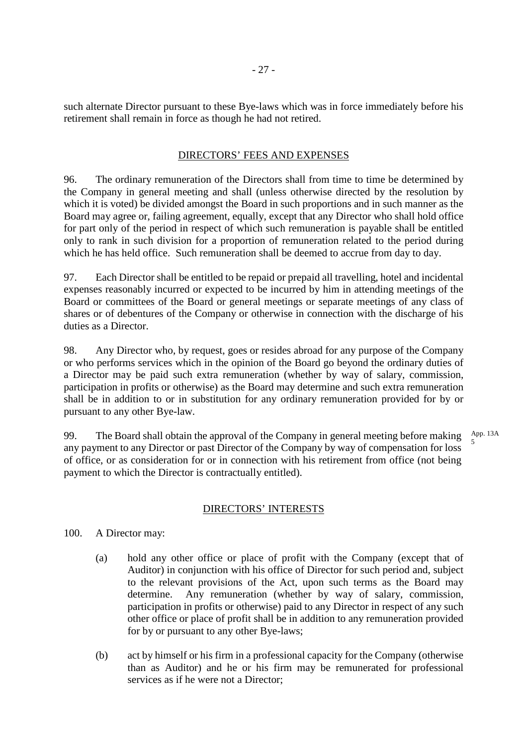such alternate Director pursuant to these Bye-laws which was in force immediately before his retirement shall remain in force as though he had not retired.

# DIRECTORS' FEES AND EXPENSES

96. The ordinary remuneration of the Directors shall from time to time be determined by the Company in general meeting and shall (unless otherwise directed by the resolution by which it is voted) be divided amongst the Board in such proportions and in such manner as the Board may agree or, failing agreement, equally, except that any Director who shall hold office for part only of the period in respect of which such remuneration is payable shall be entitled only to rank in such division for a proportion of remuneration related to the period during which he has held office. Such remuneration shall be deemed to accrue from day to day.

97. Each Director shall be entitled to be repaid or prepaid all travelling, hotel and incidental expenses reasonably incurred or expected to be incurred by him in attending meetings of the Board or committees of the Board or general meetings or separate meetings of any class of shares or of debentures of the Company or otherwise in connection with the discharge of his duties as a Director.

98. Any Director who, by request, goes or resides abroad for any purpose of the Company or who performs services which in the opinion of the Board go beyond the ordinary duties of a Director may be paid such extra remuneration (whether by way of salary, commission, participation in profits or otherwise) as the Board may determine and such extra remuneration shall be in addition to or in substitution for any ordinary remuneration provided for by or pursuant to any other Bye-law.

99. The Board shall obtain the approval of the Company in general meeting before making any payment to any Director or past Director of the Company by way of compensation for loss of office, or as consideration for or in connection with his retirement from office (not being payment to which the Director is contractually entitled). App. 13A 5

#### DIRECTORS' INTERESTS

- 100. A Director may:
	- (a) hold any other office or place of profit with the Company (except that of Auditor) in conjunction with his office of Director for such period and, subject to the relevant provisions of the Act, upon such terms as the Board may determine. Any remuneration (whether by way of salary, commission, participation in profits or otherwise) paid to any Director in respect of any such other office or place of profit shall be in addition to any remuneration provided for by or pursuant to any other Bye-laws;
	- (b) act by himself or his firm in a professional capacity for the Company (otherwise than as Auditor) and he or his firm may be remunerated for professional services as if he were not a Director;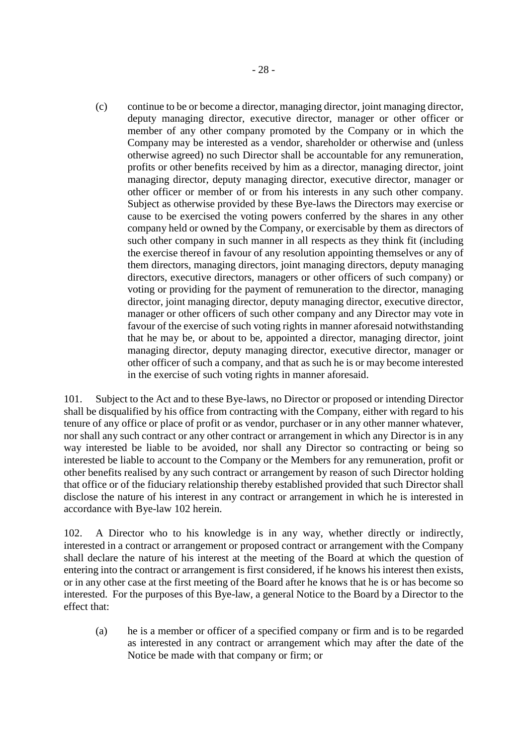(c) continue to be or become a director, managing director, joint managing director, deputy managing director, executive director, manager or other officer or member of any other company promoted by the Company or in which the Company may be interested as a vendor, shareholder or otherwise and (unless otherwise agreed) no such Director shall be accountable for any remuneration, profits or other benefits received by him as a director, managing director, joint managing director, deputy managing director, executive director, manager or other officer or member of or from his interests in any such other company. Subject as otherwise provided by these Bye-laws the Directors may exercise or cause to be exercised the voting powers conferred by the shares in any other company held or owned by the Company, or exercisable by them as directors of such other company in such manner in all respects as they think fit (including the exercise thereof in favour of any resolution appointing themselves or any of them directors, managing directors, joint managing directors, deputy managing directors, executive directors, managers or other officers of such company) or voting or providing for the payment of remuneration to the director, managing director, joint managing director, deputy managing director, executive director, manager or other officers of such other company and any Director may vote in favour of the exercise of such voting rights in manner aforesaid notwithstanding that he may be, or about to be, appointed a director, managing director, joint managing director, deputy managing director, executive director, manager or other officer of such a company, and that as such he is or may become interested in the exercise of such voting rights in manner aforesaid.

101. Subject to the Act and to these Bye-laws, no Director or proposed or intending Director shall be disqualified by his office from contracting with the Company, either with regard to his tenure of any office or place of profit or as vendor, purchaser or in any other manner whatever, nor shall any such contract or any other contract or arrangement in which any Director is in any way interested be liable to be avoided, nor shall any Director so contracting or being so interested be liable to account to the Company or the Members for any remuneration, profit or other benefits realised by any such contract or arrangement by reason of such Director holding that office or of the fiduciary relationship thereby established provided that such Director shall disclose the nature of his interest in any contract or arrangement in which he is interested in accordance with Bye-law 102 herein.

102. A Director who to his knowledge is in any way, whether directly or indirectly, interested in a contract or arrangement or proposed contract or arrangement with the Company shall declare the nature of his interest at the meeting of the Board at which the question of entering into the contract or arrangement is first considered, if he knows his interest then exists, or in any other case at the first meeting of the Board after he knows that he is or has become so interested. For the purposes of this Bye-law, a general Notice to the Board by a Director to the effect that:

(a) he is a member or officer of a specified company or firm and is to be regarded as interested in any contract or arrangement which may after the date of the Notice be made with that company or firm; or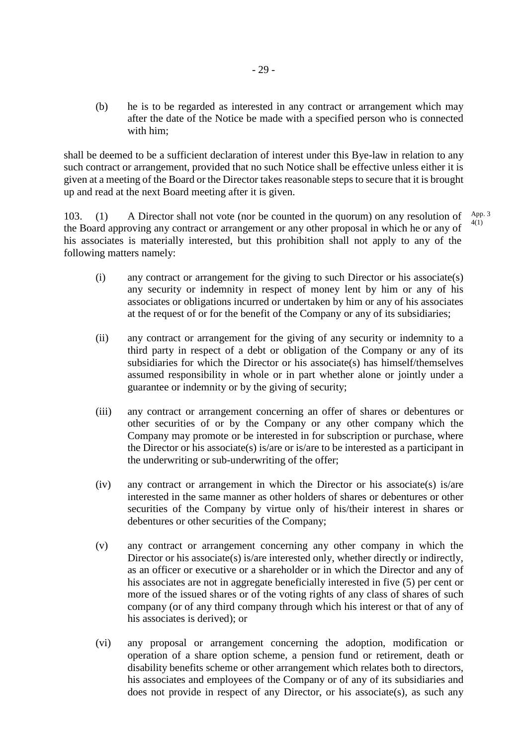(b) he is to be regarded as interested in any contract or arrangement which may after the date of the Notice be made with a specified person who is connected with him;

shall be deemed to be a sufficient declaration of interest under this Bye-law in relation to any such contract or arrangement, provided that no such Notice shall be effective unless either it is given at a meeting of the Board or the Director takes reasonable steps to secure that it is brought up and read at the next Board meeting after it is given.

103. (1) A Director shall not vote (nor be counted in the quorum) on any resolution of the Board approving any contract or arrangement or any other proposal in which he or any of his associates is materially interested, but this prohibition shall not apply to any of the following matters namely: App. 3 4(1)

- (i) any contract or arrangement for the giving to such Director or his associate(s) any security or indemnity in respect of money lent by him or any of his associates or obligations incurred or undertaken by him or any of his associates at the request of or for the benefit of the Company or any of its subsidiaries;
- (ii) any contract or arrangement for the giving of any security or indemnity to a third party in respect of a debt or obligation of the Company or any of its subsidiaries for which the Director or his associate(s) has himself/themselves assumed responsibility in whole or in part whether alone or jointly under a guarantee or indemnity or by the giving of security;
- (iii) any contract or arrangement concerning an offer of shares or debentures or other securities of or by the Company or any other company which the Company may promote or be interested in for subscription or purchase, where the Director or his associate(s) is/are or is/are to be interested as a participant in the underwriting or sub-underwriting of the offer;
- (iv) any contract or arrangement in which the Director or his associate(s) is/are interested in the same manner as other holders of shares or debentures or other securities of the Company by virtue only of his/their interest in shares or debentures or other securities of the Company;
- (v) any contract or arrangement concerning any other company in which the Director or his associate(s) is/are interested only, whether directly or indirectly, as an officer or executive or a shareholder or in which the Director and any of his associates are not in aggregate beneficially interested in five (5) per cent or more of the issued shares or of the voting rights of any class of shares of such company (or of any third company through which his interest or that of any of his associates is derived); or
- (vi) any proposal or arrangement concerning the adoption, modification or operation of a share option scheme, a pension fund or retirement, death or disability benefits scheme or other arrangement which relates both to directors, his associates and employees of the Company or of any of its subsidiaries and does not provide in respect of any Director, or his associate(s), as such any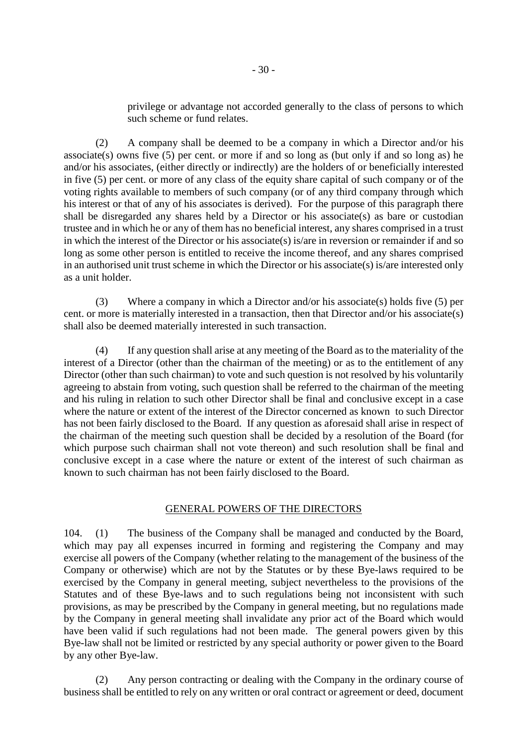privilege or advantage not accorded generally to the class of persons to which such scheme or fund relates.

(2) A company shall be deemed to be a company in which a Director and/or his associate(s) owns five  $(5)$  per cent. or more if and so long as (but only if and so long as) he and/or his associates, (either directly or indirectly) are the holders of or beneficially interested in five (5) per cent. or more of any class of the equity share capital of such company or of the voting rights available to members of such company (or of any third company through which his interest or that of any of his associates is derived). For the purpose of this paragraph there shall be disregarded any shares held by a Director or his associate(s) as bare or custodian trustee and in which he or any of them has no beneficial interest, any shares comprised in a trust in which the interest of the Director or his associate(s) is/are in reversion or remainder if and so long as some other person is entitled to receive the income thereof, and any shares comprised in an authorised unit trust scheme in which the Director or his associate(s) is/are interested only as a unit holder.

(3) Where a company in which a Director and/or his associate(s) holds five (5) per cent. or more is materially interested in a transaction, then that Director and/or his associate(s) shall also be deemed materially interested in such transaction.

(4) If any question shall arise at any meeting of the Board as to the materiality of the interest of a Director (other than the chairman of the meeting) or as to the entitlement of any Director (other than such chairman) to vote and such question is not resolved by his voluntarily agreeing to abstain from voting, such question shall be referred to the chairman of the meeting and his ruling in relation to such other Director shall be final and conclusive except in a case where the nature or extent of the interest of the Director concerned as known to such Director has not been fairly disclosed to the Board. If any question as aforesaid shall arise in respect of the chairman of the meeting such question shall be decided by a resolution of the Board (for which purpose such chairman shall not vote thereon) and such resolution shall be final and conclusive except in a case where the nature or extent of the interest of such chairman as known to such chairman has not been fairly disclosed to the Board.

#### GENERAL POWERS OF THE DIRECTORS

104. (1) The business of the Company shall be managed and conducted by the Board, which may pay all expenses incurred in forming and registering the Company and may exercise all powers of the Company (whether relating to the management of the business of the Company or otherwise) which are not by the Statutes or by these Bye-laws required to be exercised by the Company in general meeting, subject nevertheless to the provisions of the Statutes and of these Bye-laws and to such regulations being not inconsistent with such provisions, as may be prescribed by the Company in general meeting, but no regulations made by the Company in general meeting shall invalidate any prior act of the Board which would have been valid if such regulations had not been made. The general powers given by this Bye-law shall not be limited or restricted by any special authority or power given to the Board by any other Bye-law.

(2) Any person contracting or dealing with the Company in the ordinary course of business shall be entitled to rely on any written or oral contract or agreement or deed, document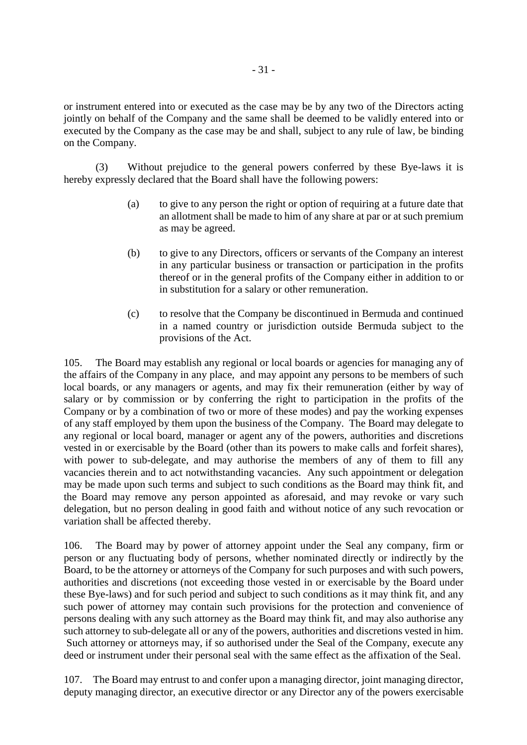or instrument entered into or executed as the case may be by any two of the Directors acting jointly on behalf of the Company and the same shall be deemed to be validly entered into or executed by the Company as the case may be and shall, subject to any rule of law, be binding on the Company.

(3) Without prejudice to the general powers conferred by these Bye-laws it is hereby expressly declared that the Board shall have the following powers:

- (a) to give to any person the right or option of requiring at a future date that an allotment shall be made to him of any share at par or at such premium as may be agreed.
- (b) to give to any Directors, officers or servants of the Company an interest in any particular business or transaction or participation in the profits thereof or in the general profits of the Company either in addition to or in substitution for a salary or other remuneration.
- (c) to resolve that the Company be discontinued in Bermuda and continued in a named country or jurisdiction outside Bermuda subject to the provisions of the Act.

105. The Board may establish any regional or local boards or agencies for managing any of the affairs of the Company in any place, and may appoint any persons to be members of such local boards, or any managers or agents, and may fix their remuneration (either by way of salary or by commission or by conferring the right to participation in the profits of the Company or by a combination of two or more of these modes) and pay the working expenses of any staff employed by them upon the business of the Company. The Board may delegate to any regional or local board, manager or agent any of the powers, authorities and discretions vested in or exercisable by the Board (other than its powers to make calls and forfeit shares), with power to sub-delegate, and may authorise the members of any of them to fill any vacancies therein and to act notwithstanding vacancies. Any such appointment or delegation may be made upon such terms and subject to such conditions as the Board may think fit, and the Board may remove any person appointed as aforesaid, and may revoke or vary such delegation, but no person dealing in good faith and without notice of any such revocation or variation shall be affected thereby.

106. The Board may by power of attorney appoint under the Seal any company, firm or person or any fluctuating body of persons, whether nominated directly or indirectly by the Board, to be the attorney or attorneys of the Company for such purposes and with such powers, authorities and discretions (not exceeding those vested in or exercisable by the Board under these Bye-laws) and for such period and subject to such conditions as it may think fit, and any such power of attorney may contain such provisions for the protection and convenience of persons dealing with any such attorney as the Board may think fit, and may also authorise any such attorney to sub-delegate all or any of the powers, authorities and discretions vested in him. Such attorney or attorneys may, if so authorised under the Seal of the Company, execute any deed or instrument under their personal seal with the same effect as the affixation of the Seal.

107. The Board may entrust to and confer upon a managing director, joint managing director, deputy managing director, an executive director or any Director any of the powers exercisable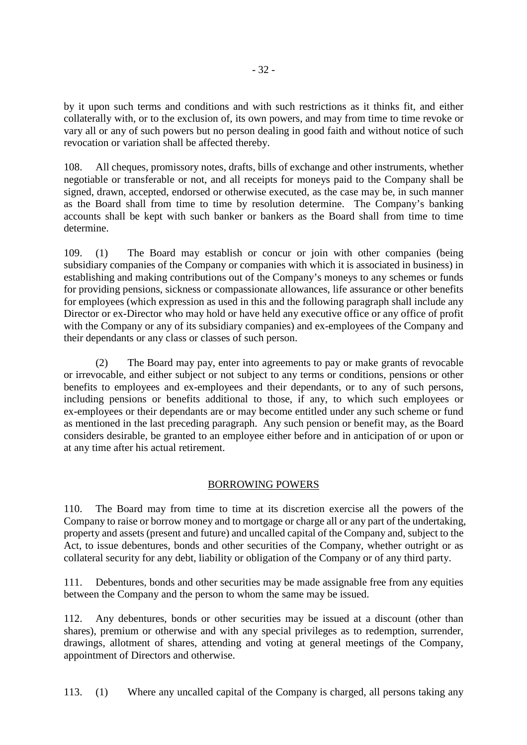by it upon such terms and conditions and with such restrictions as it thinks fit, and either collaterally with, or to the exclusion of, its own powers, and may from time to time revoke or vary all or any of such powers but no person dealing in good faith and without notice of such revocation or variation shall be affected thereby.

108. All cheques, promissory notes, drafts, bills of exchange and other instruments, whether negotiable or transferable or not, and all receipts for moneys paid to the Company shall be signed, drawn, accepted, endorsed or otherwise executed, as the case may be, in such manner as the Board shall from time to time by resolution determine. The Company's banking accounts shall be kept with such banker or bankers as the Board shall from time to time determine.

109. (1) The Board may establish or concur or join with other companies (being subsidiary companies of the Company or companies with which it is associated in business) in establishing and making contributions out of the Company's moneys to any schemes or funds for providing pensions, sickness or compassionate allowances, life assurance or other benefits for employees (which expression as used in this and the following paragraph shall include any Director or ex-Director who may hold or have held any executive office or any office of profit with the Company or any of its subsidiary companies) and ex-employees of the Company and their dependants or any class or classes of such person.

(2) The Board may pay, enter into agreements to pay or make grants of revocable or irrevocable, and either subject or not subject to any terms or conditions, pensions or other benefits to employees and ex-employees and their dependants, or to any of such persons, including pensions or benefits additional to those, if any, to which such employees or ex-employees or their dependants are or may become entitled under any such scheme or fund as mentioned in the last preceding paragraph. Any such pension or benefit may, as the Board considers desirable, be granted to an employee either before and in anticipation of or upon or at any time after his actual retirement.

# BORROWING POWERS

110. The Board may from time to time at its discretion exercise all the powers of the Company to raise or borrow money and to mortgage or charge all or any part of the undertaking, property and assets (present and future) and uncalled capital of the Company and, subject to the Act, to issue debentures, bonds and other securities of the Company, whether outright or as collateral security for any debt, liability or obligation of the Company or of any third party.

111. Debentures, bonds and other securities may be made assignable free from any equities between the Company and the person to whom the same may be issued.

112. Any debentures, bonds or other securities may be issued at a discount (other than shares), premium or otherwise and with any special privileges as to redemption, surrender, drawings, allotment of shares, attending and voting at general meetings of the Company, appointment of Directors and otherwise.

113. (1) Where any uncalled capital of the Company is charged, all persons taking any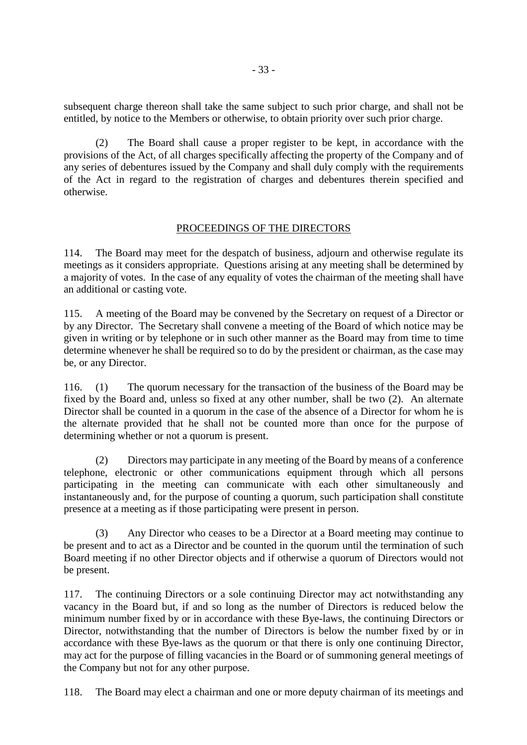subsequent charge thereon shall take the same subject to such prior charge, and shall not be entitled, by notice to the Members or otherwise, to obtain priority over such prior charge.

(2) The Board shall cause a proper register to be kept, in accordance with the provisions of the Act, of all charges specifically affecting the property of the Company and of any series of debentures issued by the Company and shall duly comply with the requirements of the Act in regard to the registration of charges and debentures therein specified and otherwise.

# PROCEEDINGS OF THE DIRECTORS

114. The Board may meet for the despatch of business, adjourn and otherwise regulate its meetings as it considers appropriate. Questions arising at any meeting shall be determined by a majority of votes. In the case of any equality of votes the chairman of the meeting shall have an additional or casting vote.

115. A meeting of the Board may be convened by the Secretary on request of a Director or by any Director. The Secretary shall convene a meeting of the Board of which notice may be given in writing or by telephone or in such other manner as the Board may from time to time determine whenever he shall be required so to do by the president or chairman, as the case may be, or any Director.

116. (1) The quorum necessary for the transaction of the business of the Board may be fixed by the Board and, unless so fixed at any other number, shall be two (2). An alternate Director shall be counted in a quorum in the case of the absence of a Director for whom he is the alternate provided that he shall not be counted more than once for the purpose of determining whether or not a quorum is present.

(2) Directors may participate in any meeting of the Board by means of a conference telephone, electronic or other communications equipment through which all persons participating in the meeting can communicate with each other simultaneously and instantaneously and, for the purpose of counting a quorum, such participation shall constitute presence at a meeting as if those participating were present in person.

Any Director who ceases to be a Director at a Board meeting may continue to be present and to act as a Director and be counted in the quorum until the termination of such Board meeting if no other Director objects and if otherwise a quorum of Directors would not be present.

117. The continuing Directors or a sole continuing Director may act notwithstanding any vacancy in the Board but, if and so long as the number of Directors is reduced below the minimum number fixed by or in accordance with these Bye-laws, the continuing Directors or Director, notwithstanding that the number of Directors is below the number fixed by or in accordance with these Bye-laws as the quorum or that there is only one continuing Director, may act for the purpose of filling vacancies in the Board or of summoning general meetings of the Company but not for any other purpose.

118. The Board may elect a chairman and one or more deputy chairman of its meetings and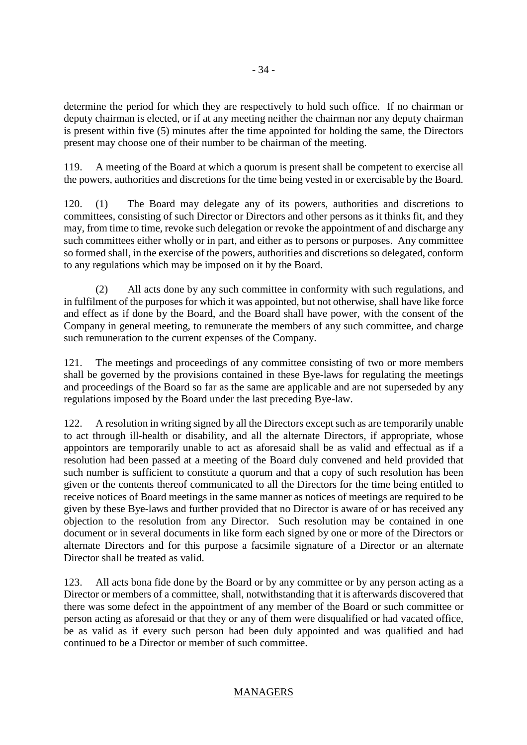determine the period for which they are respectively to hold such office. If no chairman or deputy chairman is elected, or if at any meeting neither the chairman nor any deputy chairman is present within five (5) minutes after the time appointed for holding the same, the Directors present may choose one of their number to be chairman of the meeting.

119. A meeting of the Board at which a quorum is present shall be competent to exercise all the powers, authorities and discretions for the time being vested in or exercisable by the Board.

120. (1) The Board may delegate any of its powers, authorities and discretions to committees, consisting of such Director or Directors and other persons as it thinks fit, and they may, from time to time, revoke such delegation or revoke the appointment of and discharge any such committees either wholly or in part, and either as to persons or purposes. Any committee so formed shall, in the exercise of the powers, authorities and discretions so delegated, conform to any regulations which may be imposed on it by the Board.

(2) All acts done by any such committee in conformity with such regulations, and in fulfilment of the purposes for which it was appointed, but not otherwise, shall have like force and effect as if done by the Board, and the Board shall have power, with the consent of the Company in general meeting, to remunerate the members of any such committee, and charge such remuneration to the current expenses of the Company.

121. The meetings and proceedings of any committee consisting of two or more members shall be governed by the provisions contained in these Bye-laws for regulating the meetings and proceedings of the Board so far as the same are applicable and are not superseded by any regulations imposed by the Board under the last preceding Bye-law.

122. A resolution in writing signed by all the Directors except such as are temporarily unable to act through ill-health or disability, and all the alternate Directors, if appropriate, whose appointors are temporarily unable to act as aforesaid shall be as valid and effectual as if a resolution had been passed at a meeting of the Board duly convened and held provided that such number is sufficient to constitute a quorum and that a copy of such resolution has been given or the contents thereof communicated to all the Directors for the time being entitled to receive notices of Board meetings in the same manner as notices of meetings are required to be given by these Bye-laws and further provided that no Director is aware of or has received any objection to the resolution from any Director. Such resolution may be contained in one document or in several documents in like form each signed by one or more of the Directors or alternate Directors and for this purpose a facsimile signature of a Director or an alternate Director shall be treated as valid.

123. All acts bona fide done by the Board or by any committee or by any person acting as a Director or members of a committee, shall, notwithstanding that it is afterwards discovered that there was some defect in the appointment of any member of the Board or such committee or person acting as aforesaid or that they or any of them were disqualified or had vacated office, be as valid as if every such person had been duly appointed and was qualified and had continued to be a Director or member of such committee.

# MANAGERS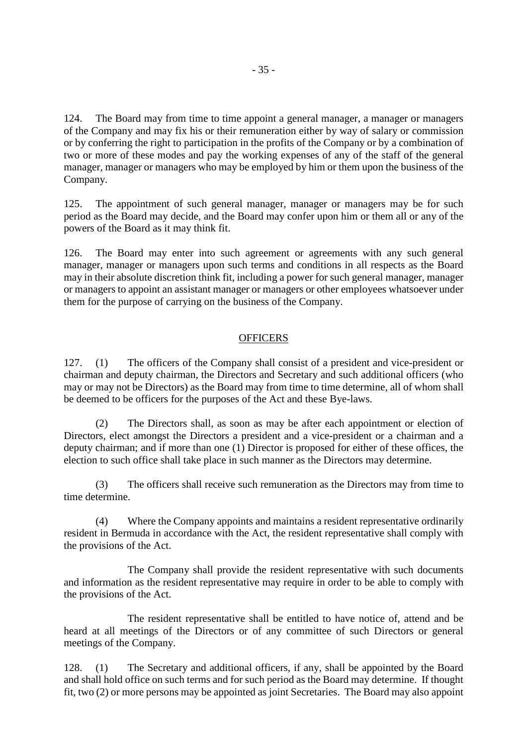124. The Board may from time to time appoint a general manager, a manager or managers of the Company and may fix his or their remuneration either by way of salary or commission or by conferring the right to participation in the profits of the Company or by a combination of two or more of these modes and pay the working expenses of any of the staff of the general manager, manager or managers who may be employed by him or them upon the business of the Company.

125. The appointment of such general manager, manager or managers may be for such period as the Board may decide, and the Board may confer upon him or them all or any of the powers of the Board as it may think fit.

126. The Board may enter into such agreement or agreements with any such general manager, manager or managers upon such terms and conditions in all respects as the Board may in their absolute discretion think fit, including a power for such general manager, manager or managers to appoint an assistant manager or managers or other employees whatsoever under them for the purpose of carrying on the business of the Company.

## **OFFICERS**

127. (1) The officers of the Company shall consist of a president and vice-president or chairman and deputy chairman, the Directors and Secretary and such additional officers (who may or may not be Directors) as the Board may from time to time determine, all of whom shall be deemed to be officers for the purposes of the Act and these Bye-laws.

(2) The Directors shall, as soon as may be after each appointment or election of Directors, elect amongst the Directors a president and a vice-president or a chairman and a deputy chairman; and if more than one (1) Director is proposed for either of these offices, the election to such office shall take place in such manner as the Directors may determine.

(3) The officers shall receive such remuneration as the Directors may from time to time determine.

(4) Where the Company appoints and maintains a resident representative ordinarily resident in Bermuda in accordance with the Act, the resident representative shall comply with the provisions of the Act.

The Company shall provide the resident representative with such documents and information as the resident representative may require in order to be able to comply with the provisions of the Act.

The resident representative shall be entitled to have notice of, attend and be heard at all meetings of the Directors or of any committee of such Directors or general meetings of the Company.

128. (1) The Secretary and additional officers, if any, shall be appointed by the Board and shall hold office on such terms and for such period as the Board may determine. If thought fit, two (2) or more persons may be appointed as joint Secretaries. The Board may also appoint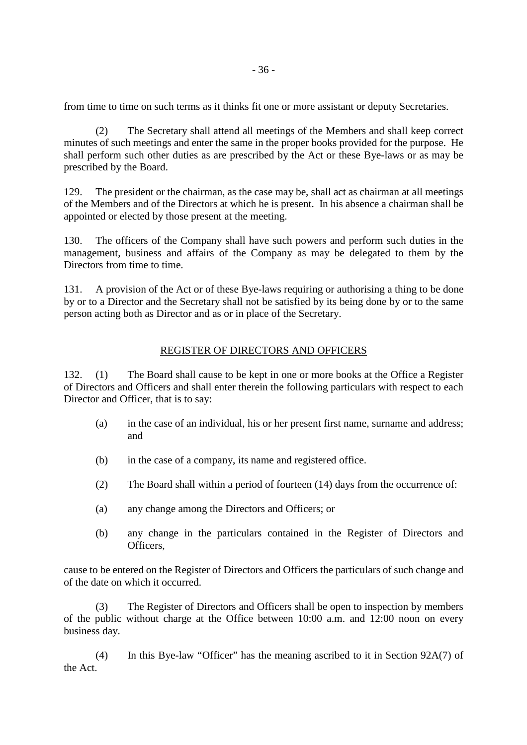from time to time on such terms as it thinks fit one or more assistant or deputy Secretaries.

(2) The Secretary shall attend all meetings of the Members and shall keep correct minutes of such meetings and enter the same in the proper books provided for the purpose. He shall perform such other duties as are prescribed by the Act or these Bye-laws or as may be prescribed by the Board.

129. The president or the chairman, as the case may be, shall act as chairman at all meetings of the Members and of the Directors at which he is present. In his absence a chairman shall be appointed or elected by those present at the meeting.

130. The officers of the Company shall have such powers and perform such duties in the management, business and affairs of the Company as may be delegated to them by the Directors from time to time.

131. A provision of the Act or of these Bye-laws requiring or authorising a thing to be done by or to a Director and the Secretary shall not be satisfied by its being done by or to the same person acting both as Director and as or in place of the Secretary.

# REGISTER OF DIRECTORS AND OFFICERS

132. (1) The Board shall cause to be kept in one or more books at the Office a Register of Directors and Officers and shall enter therein the following particulars with respect to each Director and Officer, that is to say:

- (a) in the case of an individual, his or her present first name, surname and address; and
- (b) in the case of a company, its name and registered office.
- (2) The Board shall within a period of fourteen (14) days from the occurrence of:
- (a) any change among the Directors and Officers; or
- (b) any change in the particulars contained in the Register of Directors and Officers,

cause to be entered on the Register of Directors and Officers the particulars of such change and of the date on which it occurred.

(3) The Register of Directors and Officers shall be open to inspection by members of the public without charge at the Office between 10:00 a.m. and 12:00 noon on every business day.

(4) In this Bye-law "Officer" has the meaning ascribed to it in Section 92A(7) of the Act.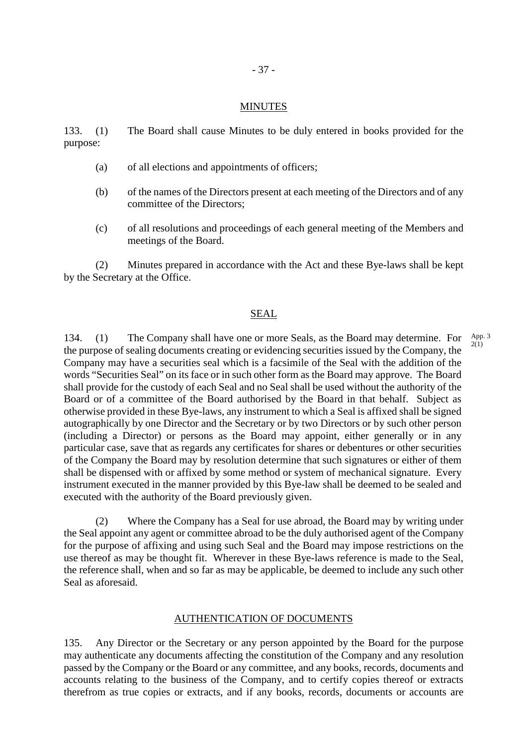#### MINUTES

133. (1) The Board shall cause Minutes to be duly entered in books provided for the purpose:

- (a) of all elections and appointments of officers;
- (b) of the names of the Directors present at each meeting of the Directors and of any committee of the Directors;
- (c) of all resolutions and proceedings of each general meeting of the Members and meetings of the Board.

(2) Minutes prepared in accordance with the Act and these Bye-laws shall be kept by the Secretary at the Office.

#### SEAL

134. (1) The Company shall have one or more Seals, as the Board may determine. For the purpose of sealing documents creating or evidencing securities issued by the Company, the Company may have a securities seal which is a facsimile of the Seal with the addition of the words "Securities Seal" on its face or in such other form as the Board may approve. The Board shall provide for the custody of each Seal and no Seal shall be used without the authority of the Board or of a committee of the Board authorised by the Board in that behalf. Subject as otherwise provided in these Bye-laws, any instrument to which a Seal is affixed shall be signed autographically by one Director and the Secretary or by two Directors or by such other person (including a Director) or persons as the Board may appoint, either generally or in any particular case, save that as regards any certificates for shares or debentures or other securities of the Company the Board may by resolution determine that such signatures or either of them shall be dispensed with or affixed by some method or system of mechanical signature. Every instrument executed in the manner provided by this Bye-law shall be deemed to be sealed and executed with the authority of the Board previously given. App. 3 2(1)

(2) Where the Company has a Seal for use abroad, the Board may by writing under the Seal appoint any agent or committee abroad to be the duly authorised agent of the Company for the purpose of affixing and using such Seal and the Board may impose restrictions on the use thereof as may be thought fit. Wherever in these Bye-laws reference is made to the Seal, the reference shall, when and so far as may be applicable, be deemed to include any such other Seal as aforesaid.

#### AUTHENTICATION OF DOCUMENTS

135. Any Director or the Secretary or any person appointed by the Board for the purpose may authenticate any documents affecting the constitution of the Company and any resolution passed by the Company or the Board or any committee, and any books, records, documents and accounts relating to the business of the Company, and to certify copies thereof or extracts therefrom as true copies or extracts, and if any books, records, documents or accounts are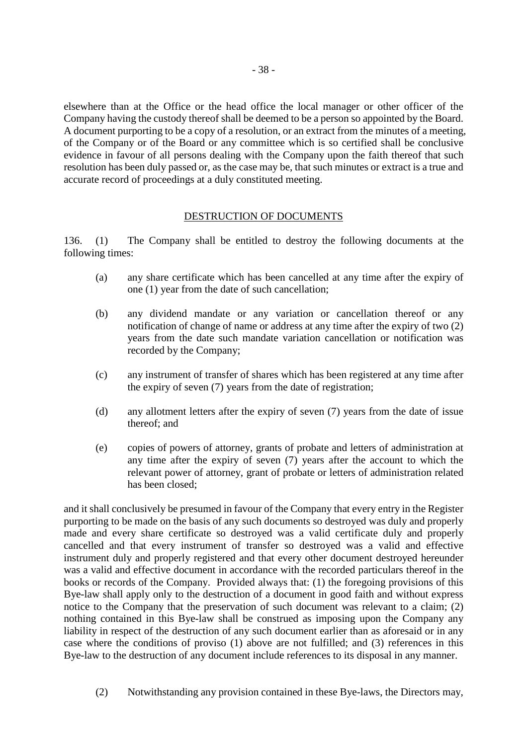elsewhere than at the Office or the head office the local manager or other officer of the Company having the custody thereof shall be deemed to be a person so appointed by the Board. A document purporting to be a copy of a resolution, or an extract from the minutes of a meeting, of the Company or of the Board or any committee which is so certified shall be conclusive evidence in favour of all persons dealing with the Company upon the faith thereof that such resolution has been duly passed or, as the case may be, that such minutes or extract is a true and accurate record of proceedings at a duly constituted meeting.

## DESTRUCTION OF DOCUMENTS

136. (1) The Company shall be entitled to destroy the following documents at the following times:

- (a) any share certificate which has been cancelled at any time after the expiry of one (1) year from the date of such cancellation;
- (b) any dividend mandate or any variation or cancellation thereof or any notification of change of name or address at any time after the expiry of two (2) years from the date such mandate variation cancellation or notification was recorded by the Company;
- (c) any instrument of transfer of shares which has been registered at any time after the expiry of seven (7) years from the date of registration;
- (d) any allotment letters after the expiry of seven (7) years from the date of issue thereof; and
- (e) copies of powers of attorney, grants of probate and letters of administration at any time after the expiry of seven (7) years after the account to which the relevant power of attorney, grant of probate or letters of administration related has been closed;

and it shall conclusively be presumed in favour of the Company that every entry in the Register purporting to be made on the basis of any such documents so destroyed was duly and properly made and every share certificate so destroyed was a valid certificate duly and properly cancelled and that every instrument of transfer so destroyed was a valid and effective instrument duly and properly registered and that every other document destroyed hereunder was a valid and effective document in accordance with the recorded particulars thereof in the books or records of the Company. Provided always that: (1) the foregoing provisions of this Bye-law shall apply only to the destruction of a document in good faith and without express notice to the Company that the preservation of such document was relevant to a claim; (2) nothing contained in this Bye-law shall be construed as imposing upon the Company any liability in respect of the destruction of any such document earlier than as aforesaid or in any case where the conditions of proviso (1) above are not fulfilled; and (3) references in this Bye-law to the destruction of any document include references to its disposal in any manner.

(2) Notwithstanding any provision contained in these Bye-laws, the Directors may,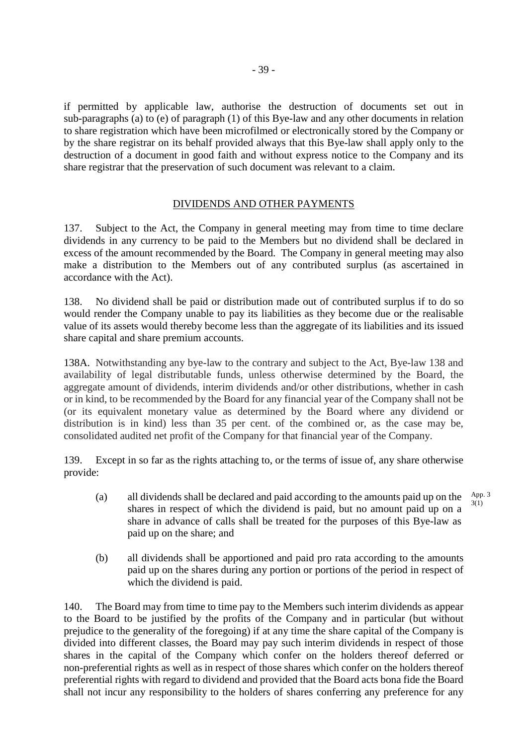if permitted by applicable law, authorise the destruction of documents set out in sub-paragraphs (a) to (e) of paragraph (1) of this Bye-law and any other documents in relation to share registration which have been microfilmed or electronically stored by the Company or by the share registrar on its behalf provided always that this Bye-law shall apply only to the destruction of a document in good faith and without express notice to the Company and its share registrar that the preservation of such document was relevant to a claim.

# DIVIDENDS AND OTHER PAYMENTS

137. Subject to the Act, the Company in general meeting may from time to time declare dividends in any currency to be paid to the Members but no dividend shall be declared in excess of the amount recommended by the Board. The Company in general meeting may also make a distribution to the Members out of any contributed surplus (as ascertained in accordance with the Act).

138. No dividend shall be paid or distribution made out of contributed surplus if to do so would render the Company unable to pay its liabilities as they become due or the realisable value of its assets would thereby become less than the aggregate of its liabilities and its issued share capital and share premium accounts.

138A. Notwithstanding any bye-law to the contrary and subject to the Act, Bye-law 138 and availability of legal distributable funds, unless otherwise determined by the Board, the aggregate amount of dividends, interim dividends and/or other distributions, whether in cash or in kind, to be recommended by the Board for any financial year of the Company shall not be (or its equivalent monetary value as determined by the Board where any dividend or distribution is in kind) less than 35 per cent. of the combined or, as the case may be, consolidated audited net profit of the Company for that financial year of the Company.

139. Except in so far as the rights attaching to, or the terms of issue of, any share otherwise provide:

- (a) all dividends shall be declared and paid according to the amounts paid up on the shares in respect of which the dividend is paid, but no amount paid up on a share in advance of calls shall be treated for the purposes of this Bye-law as paid up on the share; and App. 3 3(1)
- (b) all dividends shall be apportioned and paid pro rata according to the amounts paid up on the shares during any portion or portions of the period in respect of which the dividend is paid.

140. The Board may from time to time pay to the Members such interim dividends as appear to the Board to be justified by the profits of the Company and in particular (but without prejudice to the generality of the foregoing) if at any time the share capital of the Company is divided into different classes, the Board may pay such interim dividends in respect of those shares in the capital of the Company which confer on the holders thereof deferred or non-preferential rights as well as in respect of those shares which confer on the holders thereof preferential rights with regard to dividend and provided that the Board acts bona fide the Board shall not incur any responsibility to the holders of shares conferring any preference for any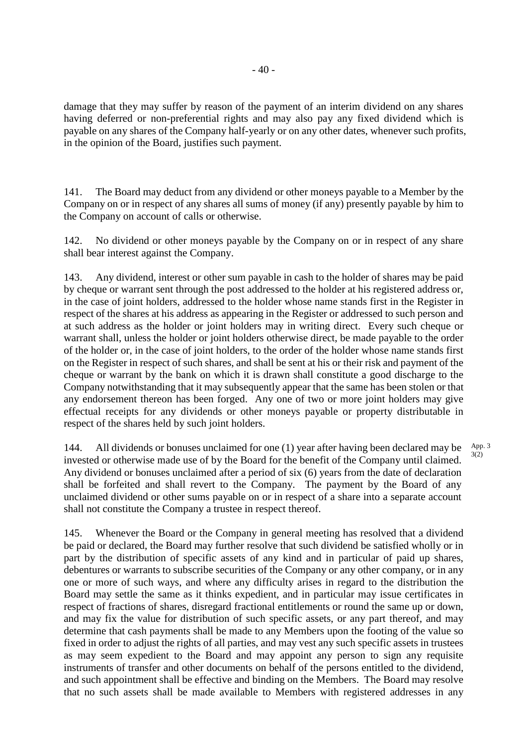damage that they may suffer by reason of the payment of an interim dividend on any shares having deferred or non-preferential rights and may also pay any fixed dividend which is payable on any shares of the Company half-yearly or on any other dates, whenever such profits, in the opinion of the Board, justifies such payment.

141. The Board may deduct from any dividend or other moneys payable to a Member by the Company on or in respect of any shares all sums of money (if any) presently payable by him to the Company on account of calls or otherwise.

142. No dividend or other moneys payable by the Company on or in respect of any share shall bear interest against the Company.

143. Any dividend, interest or other sum payable in cash to the holder of shares may be paid by cheque or warrant sent through the post addressed to the holder at his registered address or, in the case of joint holders, addressed to the holder whose name stands first in the Register in respect of the shares at his address as appearing in the Register or addressed to such person and at such address as the holder or joint holders may in writing direct. Every such cheque or warrant shall, unless the holder or joint holders otherwise direct, be made payable to the order of the holder or, in the case of joint holders, to the order of the holder whose name stands first on the Register in respect of such shares, and shall be sent at his or their risk and payment of the cheque or warrant by the bank on which it is drawn shall constitute a good discharge to the Company notwithstanding that it may subsequently appear that the same has been stolen or that any endorsement thereon has been forged. Any one of two or more joint holders may give effectual receipts for any dividends or other moneys payable or property distributable in respect of the shares held by such joint holders.

144. All dividends or bonuses unclaimed for one (1) year after having been declared may be invested or otherwise made use of by the Board for the benefit of the Company until claimed. Any dividend or bonuses unclaimed after a period of six (6) years from the date of declaration shall be forfeited and shall revert to the Company. The payment by the Board of any unclaimed dividend or other sums payable on or in respect of a share into a separate account shall not constitute the Company a trustee in respect thereof. App. 3 3(2)

145. Whenever the Board or the Company in general meeting has resolved that a dividend be paid or declared, the Board may further resolve that such dividend be satisfied wholly or in part by the distribution of specific assets of any kind and in particular of paid up shares, debentures or warrants to subscribe securities of the Company or any other company, or in any one or more of such ways, and where any difficulty arises in regard to the distribution the Board may settle the same as it thinks expedient, and in particular may issue certificates in respect of fractions of shares, disregard fractional entitlements or round the same up or down, and may fix the value for distribution of such specific assets, or any part thereof, and may determine that cash payments shall be made to any Members upon the footing of the value so fixed in order to adjust the rights of all parties, and may vest any such specific assets in trustees as may seem expedient to the Board and may appoint any person to sign any requisite instruments of transfer and other documents on behalf of the persons entitled to the dividend, and such appointment shall be effective and binding on the Members. The Board may resolve that no such assets shall be made available to Members with registered addresses in any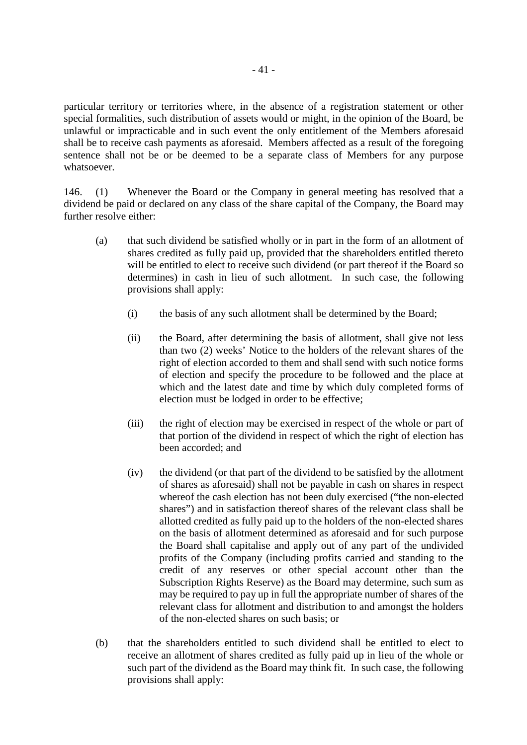particular territory or territories where, in the absence of a registration statement or other special formalities, such distribution of assets would or might, in the opinion of the Board, be unlawful or impracticable and in such event the only entitlement of the Members aforesaid shall be to receive cash payments as aforesaid. Members affected as a result of the foregoing sentence shall not be or be deemed to be a separate class of Members for any purpose whatsoever.

146. (1) Whenever the Board or the Company in general meeting has resolved that a dividend be paid or declared on any class of the share capital of the Company, the Board may further resolve either:

- (a) that such dividend be satisfied wholly or in part in the form of an allotment of shares credited as fully paid up, provided that the shareholders entitled thereto will be entitled to elect to receive such dividend (or part thereof if the Board so determines) in cash in lieu of such allotment. In such case, the following provisions shall apply:
	- (i) the basis of any such allotment shall be determined by the Board;
	- (ii) the Board, after determining the basis of allotment, shall give not less than two (2) weeks' Notice to the holders of the relevant shares of the right of election accorded to them and shall send with such notice forms of election and specify the procedure to be followed and the place at which and the latest date and time by which duly completed forms of election must be lodged in order to be effective;
	- (iii) the right of election may be exercised in respect of the whole or part of that portion of the dividend in respect of which the right of election has been accorded; and
	- (iv) the dividend (or that part of the dividend to be satisfied by the allotment of shares as aforesaid) shall not be payable in cash on shares in respect whereof the cash election has not been duly exercised ("the non-elected shares") and in satisfaction thereof shares of the relevant class shall be allotted credited as fully paid up to the holders of the non-elected shares on the basis of allotment determined as aforesaid and for such purpose the Board shall capitalise and apply out of any part of the undivided profits of the Company (including profits carried and standing to the credit of any reserves or other special account other than the Subscription Rights Reserve) as the Board may determine, such sum as may be required to pay up in full the appropriate number of shares of the relevant class for allotment and distribution to and amongst the holders of the non-elected shares on such basis; or
- (b) that the shareholders entitled to such dividend shall be entitled to elect to receive an allotment of shares credited as fully paid up in lieu of the whole or such part of the dividend as the Board may think fit. In such case, the following provisions shall apply: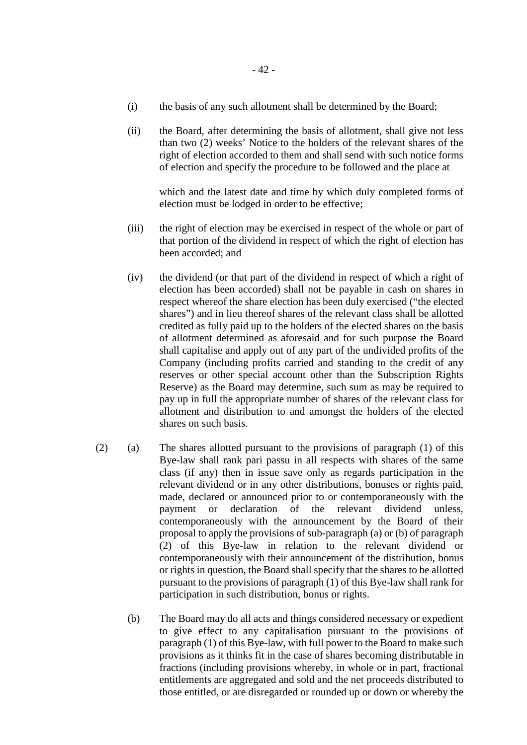- (i) the basis of any such allotment shall be determined by the Board;
- (ii) the Board, after determining the basis of allotment, shall give not less than two (2) weeks' Notice to the holders of the relevant shares of the right of election accorded to them and shall send with such notice forms of election and specify the procedure to be followed and the place at

 which and the latest date and time by which duly completed forms of election must be lodged in order to be effective;

- (iii) the right of election may be exercised in respect of the whole or part of that portion of the dividend in respect of which the right of election has been accorded; and
- (iv) the dividend (or that part of the dividend in respect of which a right of election has been accorded) shall not be payable in cash on shares in respect whereof the share election has been duly exercised ("the elected shares") and in lieu thereof shares of the relevant class shall be allotted credited as fully paid up to the holders of the elected shares on the basis of allotment determined as aforesaid and for such purpose the Board shall capitalise and apply out of any part of the undivided profits of the Company (including profits carried and standing to the credit of any reserves or other special account other than the Subscription Rights Reserve) as the Board may determine, such sum as may be required to pay up in full the appropriate number of shares of the relevant class for allotment and distribution to and amongst the holders of the elected shares on such basis.
- (2) (a) The shares allotted pursuant to the provisions of paragraph (1) of this Bye-law shall rank pari passu in all respects with shares of the same class (if any) then in issue save only as regards participation in the relevant dividend or in any other distributions, bonuses or rights paid, made, declared or announced prior to or contemporaneously with the payment or declaration of the relevant dividend unless, contemporaneously with the announcement by the Board of their proposal to apply the provisions of sub-paragraph (a) or (b) of paragraph (2) of this Bye-law in relation to the relevant dividend or contemporaneously with their announcement of the distribution, bonus or rights in question, the Board shall specify that the shares to be allotted pursuant to the provisions of paragraph (1) of this Bye-law shall rank for participation in such distribution, bonus or rights.
	- (b) The Board may do all acts and things considered necessary or expedient to give effect to any capitalisation pursuant to the provisions of paragraph (1) of this Bye-law, with full power to the Board to make such provisions as it thinks fit in the case of shares becoming distributable in fractions (including provisions whereby, in whole or in part, fractional entitlements are aggregated and sold and the net proceeds distributed to those entitled, or are disregarded or rounded up or down or whereby the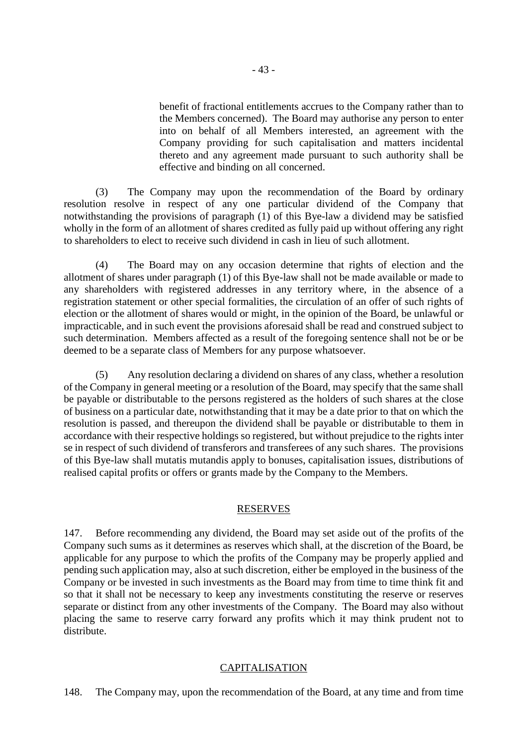benefit of fractional entitlements accrues to the Company rather than to the Members concerned). The Board may authorise any person to enter into on behalf of all Members interested, an agreement with the Company providing for such capitalisation and matters incidental thereto and any agreement made pursuant to such authority shall be effective and binding on all concerned.

(3) The Company may upon the recommendation of the Board by ordinary resolution resolve in respect of any one particular dividend of the Company that notwithstanding the provisions of paragraph (1) of this Bye-law a dividend may be satisfied wholly in the form of an allotment of shares credited as fully paid up without offering any right to shareholders to elect to receive such dividend in cash in lieu of such allotment.

(4) The Board may on any occasion determine that rights of election and the allotment of shares under paragraph (1) of this Bye-law shall not be made available or made to any shareholders with registered addresses in any territory where, in the absence of a registration statement or other special formalities, the circulation of an offer of such rights of election or the allotment of shares would or might, in the opinion of the Board, be unlawful or impracticable, and in such event the provisions aforesaid shall be read and construed subject to such determination. Members affected as a result of the foregoing sentence shall not be or be deemed to be a separate class of Members for any purpose whatsoever.

(5) Any resolution declaring a dividend on shares of any class, whether a resolution of the Company in general meeting or a resolution of the Board, may specify that the same shall be payable or distributable to the persons registered as the holders of such shares at the close of business on a particular date, notwithstanding that it may be a date prior to that on which the resolution is passed, and thereupon the dividend shall be payable or distributable to them in accordance with their respective holdings so registered, but without prejudice to the rights inter se in respect of such dividend of transferors and transferees of any such shares. The provisions of this Bye-law shall mutatis mutandis apply to bonuses, capitalisation issues, distributions of realised capital profits or offers or grants made by the Company to the Members.

#### RESERVES

147. Before recommending any dividend, the Board may set aside out of the profits of the Company such sums as it determines as reserves which shall, at the discretion of the Board, be applicable for any purpose to which the profits of the Company may be properly applied and pending such application may, also at such discretion, either be employed in the business of the Company or be invested in such investments as the Board may from time to time think fit and so that it shall not be necessary to keep any investments constituting the reserve or reserves separate or distinct from any other investments of the Company. The Board may also without placing the same to reserve carry forward any profits which it may think prudent not to distribute.

# CAPITALISATION

148. The Company may, upon the recommendation of the Board, at any time and from time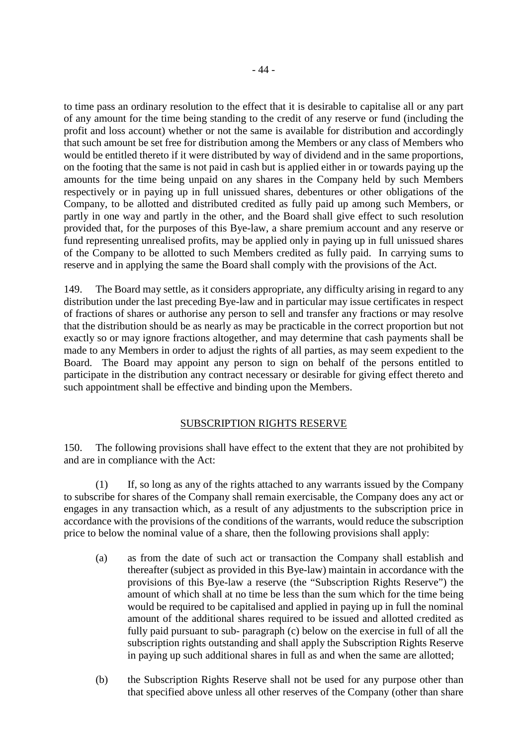to time pass an ordinary resolution to the effect that it is desirable to capitalise all or any part of any amount for the time being standing to the credit of any reserve or fund (including the profit and loss account) whether or not the same is available for distribution and accordingly that such amount be set free for distribution among the Members or any class of Members who would be entitled thereto if it were distributed by way of dividend and in the same proportions, on the footing that the same is not paid in cash but is applied either in or towards paying up the amounts for the time being unpaid on any shares in the Company held by such Members respectively or in paying up in full unissued shares, debentures or other obligations of the Company, to be allotted and distributed credited as fully paid up among such Members, or partly in one way and partly in the other, and the Board shall give effect to such resolution provided that, for the purposes of this Bye-law, a share premium account and any reserve or fund representing unrealised profits, may be applied only in paying up in full unissued shares of the Company to be allotted to such Members credited as fully paid. In carrying sums to reserve and in applying the same the Board shall comply with the provisions of the Act.

149. The Board may settle, as it considers appropriate, any difficulty arising in regard to any distribution under the last preceding Bye-law and in particular may issue certificates in respect of fractions of shares or authorise any person to sell and transfer any fractions or may resolve that the distribution should be as nearly as may be practicable in the correct proportion but not exactly so or may ignore fractions altogether, and may determine that cash payments shall be made to any Members in order to adjust the rights of all parties, as may seem expedient to the Board. The Board may appoint any person to sign on behalf of the persons entitled to participate in the distribution any contract necessary or desirable for giving effect thereto and such appointment shall be effective and binding upon the Members.

# SUBSCRIPTION RIGHTS RESERVE

150. The following provisions shall have effect to the extent that they are not prohibited by and are in compliance with the Act:

(1) If, so long as any of the rights attached to any warrants issued by the Company to subscribe for shares of the Company shall remain exercisable, the Company does any act or engages in any transaction which, as a result of any adjustments to the subscription price in accordance with the provisions of the conditions of the warrants, would reduce the subscription price to below the nominal value of a share, then the following provisions shall apply:

- (a) as from the date of such act or transaction the Company shall establish and thereafter (subject as provided in this Bye-law) maintain in accordance with the provisions of this Bye-law a reserve (the "Subscription Rights Reserve") the amount of which shall at no time be less than the sum which for the time being would be required to be capitalised and applied in paying up in full the nominal amount of the additional shares required to be issued and allotted credited as fully paid pursuant to sub- paragraph (c) below on the exercise in full of all the subscription rights outstanding and shall apply the Subscription Rights Reserve in paying up such additional shares in full as and when the same are allotted;
- (b) the Subscription Rights Reserve shall not be used for any purpose other than that specified above unless all other reserves of the Company (other than share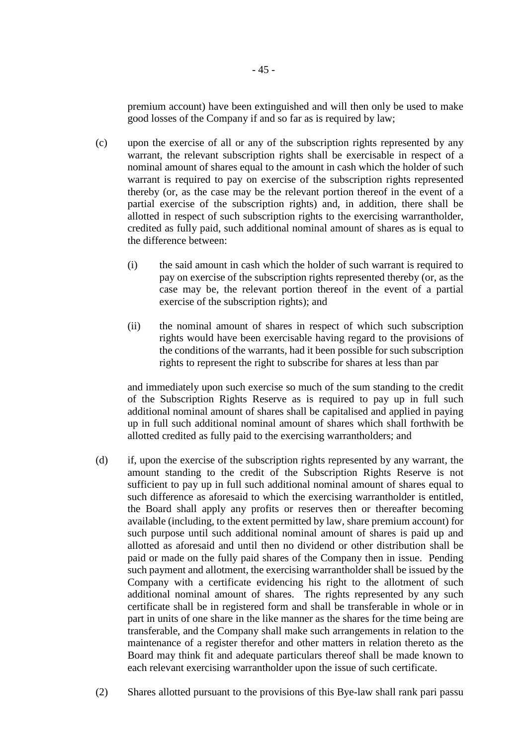premium account) have been extinguished and will then only be used to make good losses of the Company if and so far as is required by law;

- (c) upon the exercise of all or any of the subscription rights represented by any warrant, the relevant subscription rights shall be exercisable in respect of a nominal amount of shares equal to the amount in cash which the holder of such warrant is required to pay on exercise of the subscription rights represented thereby (or, as the case may be the relevant portion thereof in the event of a partial exercise of the subscription rights) and, in addition, there shall be allotted in respect of such subscription rights to the exercising warrantholder, credited as fully paid, such additional nominal amount of shares as is equal to the difference between:
	- (i) the said amount in cash which the holder of such warrant is required to pay on exercise of the subscription rights represented thereby (or, as the case may be, the relevant portion thereof in the event of a partial exercise of the subscription rights); and
	- (ii) the nominal amount of shares in respect of which such subscription rights would have been exercisable having regard to the provisions of the conditions of the warrants, had it been possible for such subscription rights to represent the right to subscribe for shares at less than par

and immediately upon such exercise so much of the sum standing to the credit of the Subscription Rights Reserve as is required to pay up in full such additional nominal amount of shares shall be capitalised and applied in paying up in full such additional nominal amount of shares which shall forthwith be allotted credited as fully paid to the exercising warrantholders; and

- (d) if, upon the exercise of the subscription rights represented by any warrant, the amount standing to the credit of the Subscription Rights Reserve is not sufficient to pay up in full such additional nominal amount of shares equal to such difference as aforesaid to which the exercising warrantholder is entitled, the Board shall apply any profits or reserves then or thereafter becoming available (including, to the extent permitted by law, share premium account) for such purpose until such additional nominal amount of shares is paid up and allotted as aforesaid and until then no dividend or other distribution shall be paid or made on the fully paid shares of the Company then in issue. Pending such payment and allotment, the exercising warrantholder shall be issued by the Company with a certificate evidencing his right to the allotment of such additional nominal amount of shares. The rights represented by any such certificate shall be in registered form and shall be transferable in whole or in part in units of one share in the like manner as the shares for the time being are transferable, and the Company shall make such arrangements in relation to the maintenance of a register therefor and other matters in relation thereto as the Board may think fit and adequate particulars thereof shall be made known to each relevant exercising warrantholder upon the issue of such certificate.
- (2) Shares allotted pursuant to the provisions of this Bye-law shall rank pari passu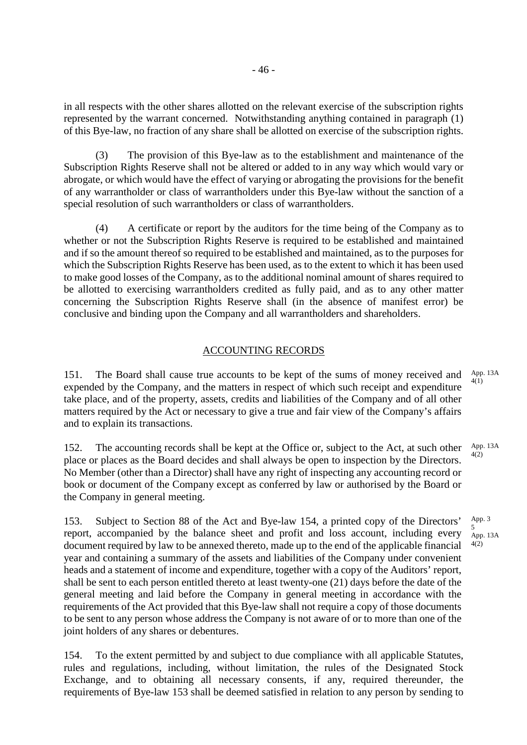in all respects with the other shares allotted on the relevant exercise of the subscription rights represented by the warrant concerned. Notwithstanding anything contained in paragraph (1) of this Bye-law, no fraction of any share shall be allotted on exercise of the subscription rights.

The provision of this Bye-law as to the establishment and maintenance of the Subscription Rights Reserve shall not be altered or added to in any way which would vary or abrogate, or which would have the effect of varying or abrogating the provisions for the benefit of any warrantholder or class of warrantholders under this Bye-law without the sanction of a special resolution of such warrantholders or class of warrantholders.

(4) A certificate or report by the auditors for the time being of the Company as to whether or not the Subscription Rights Reserve is required to be established and maintained and if so the amount thereof so required to be established and maintained, as to the purposes for which the Subscription Rights Reserve has been used, as to the extent to which it has been used to make good losses of the Company, as to the additional nominal amount of shares required to be allotted to exercising warrantholders credited as fully paid, and as to any other matter concerning the Subscription Rights Reserve shall (in the absence of manifest error) be conclusive and binding upon the Company and all warrantholders and shareholders.

# ACCOUNTING RECORDS

151. The Board shall cause true accounts to be kept of the sums of money received and expended by the Company, and the matters in respect of which such receipt and expenditure take place, and of the property, assets, credits and liabilities of the Company and of all other matters required by the Act or necessary to give a true and fair view of the Company's affairs and to explain its transactions. App. 13A 4(1)

152. The accounting records shall be kept at the Office or, subject to the Act, at such other place or places as the Board decides and shall always be open to inspection by the Directors. No Member (other than a Director) shall have any right of inspecting any accounting record or book or document of the Company except as conferred by law or authorised by the Board or the Company in general meeting. App. 13A 4(2)

153. Subject to Section 88 of the Act and Bye-law 154, a printed copy of the Directors' report, accompanied by the balance sheet and profit and loss account, including every document required by law to be annexed thereto, made up to the end of the applicable financial year and containing a summary of the assets and liabilities of the Company under convenient heads and a statement of income and expenditure, together with a copy of the Auditors' report, shall be sent to each person entitled thereto at least twenty-one (21) days before the date of the general meeting and laid before the Company in general meeting in accordance with the requirements of the Act provided that this Bye-law shall not require a copy of those documents to be sent to any person whose address the Company is not aware of or to more than one of the joint holders of any shares or debentures.

154. To the extent permitted by and subject to due compliance with all applicable Statutes, rules and regulations, including, without limitation, the rules of the Designated Stock Exchange, and to obtaining all necessary consents, if any, required thereunder, the requirements of Bye-law 153 shall be deemed satisfied in relation to any person by sending to

App. 3 5 App. 13A 4(2)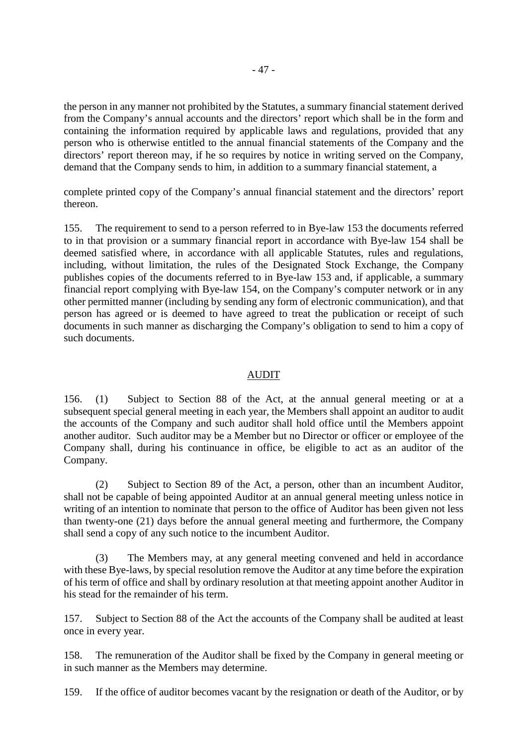the person in any manner not prohibited by the Statutes, a summary financial statement derived from the Company's annual accounts and the directors' report which shall be in the form and containing the information required by applicable laws and regulations, provided that any person who is otherwise entitled to the annual financial statements of the Company and the directors' report thereon may, if he so requires by notice in writing served on the Company, demand that the Company sends to him, in addition to a summary financial statement, a

complete printed copy of the Company's annual financial statement and the directors' report thereon.

155. The requirement to send to a person referred to in Bye-law 153 the documents referred to in that provision or a summary financial report in accordance with Bye-law 154 shall be deemed satisfied where, in accordance with all applicable Statutes, rules and regulations, including, without limitation, the rules of the Designated Stock Exchange, the Company publishes copies of the documents referred to in Bye-law 153 and, if applicable, a summary financial report complying with Bye-law 154, on the Company's computer network or in any other permitted manner (including by sending any form of electronic communication), and that person has agreed or is deemed to have agreed to treat the publication or receipt of such documents in such manner as discharging the Company's obligation to send to him a copy of such documents.

## AUDIT

156. (1) Subject to Section 88 of the Act, at the annual general meeting or at a subsequent special general meeting in each year, the Members shall appoint an auditor to audit the accounts of the Company and such auditor shall hold office until the Members appoint another auditor. Such auditor may be a Member but no Director or officer or employee of the Company shall, during his continuance in office, be eligible to act as an auditor of the Company.

(2) Subject to Section 89 of the Act, a person, other than an incumbent Auditor, shall not be capable of being appointed Auditor at an annual general meeting unless notice in writing of an intention to nominate that person to the office of Auditor has been given not less than twenty-one (21) days before the annual general meeting and furthermore, the Company shall send a copy of any such notice to the incumbent Auditor.

(3) The Members may, at any general meeting convened and held in accordance with these Bye-laws, by special resolution remove the Auditor at any time before the expiration of his term of office and shall by ordinary resolution at that meeting appoint another Auditor in his stead for the remainder of his term.

157. Subject to Section 88 of the Act the accounts of the Company shall be audited at least once in every year.

158. The remuneration of the Auditor shall be fixed by the Company in general meeting or in such manner as the Members may determine.

159. If the office of auditor becomes vacant by the resignation or death of the Auditor, or by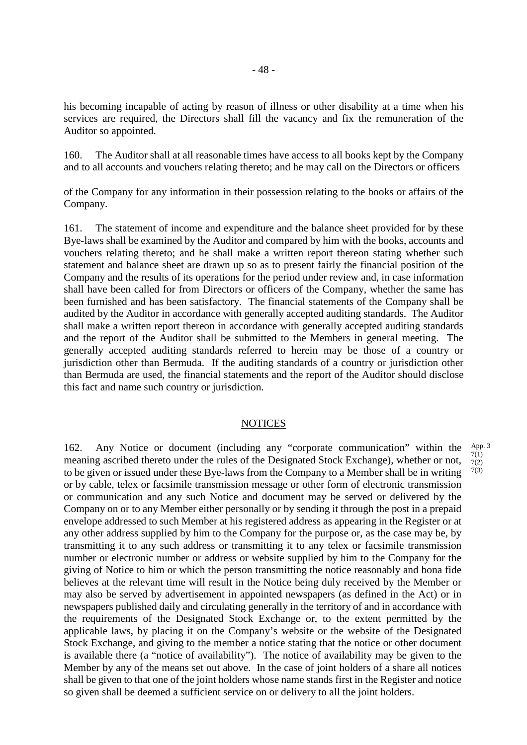his becoming incapable of acting by reason of illness or other disability at a time when his services are required, the Directors shall fill the vacancy and fix the remuneration of the Auditor so appointed.

160. The Auditor shall at all reasonable times have access to all books kept by the Company and to all accounts and vouchers relating thereto; and he may call on the Directors or officers

of the Company for any information in their possession relating to the books or affairs of the Company.

161. The statement of income and expenditure and the balance sheet provided for by these Bye-laws shall be examined by the Auditor and compared by him with the books, accounts and vouchers relating thereto; and he shall make a written report thereon stating whether such statement and balance sheet are drawn up so as to present fairly the financial position of the Company and the results of its operations for the period under review and, in case information shall have been called for from Directors or officers of the Company, whether the same has been furnished and has been satisfactory. The financial statements of the Company shall be audited by the Auditor in accordance with generally accepted auditing standards. The Auditor shall make a written report thereon in accordance with generally accepted auditing standards and the report of the Auditor shall be submitted to the Members in general meeting. The generally accepted auditing standards referred to herein may be those of a country or jurisdiction other than Bermuda. If the auditing standards of a country or jurisdiction other than Bermuda are used, the financial statements and the report of the Auditor should disclose this fact and name such country or jurisdiction.

# **NOTICES**

162. Any Notice or document (including any "corporate communication" within the meaning ascribed thereto under the rules of the Designated Stock Exchange), whether or not, to be given or issued under these Bye-laws from the Company to a Member shall be in writing or by cable, telex or facsimile transmission message or other form of electronic transmission or communication and any such Notice and document may be served or delivered by the Company on or to any Member either personally or by sending it through the post in a prepaid envelope addressed to such Member at his registered address as appearing in the Register or at any other address supplied by him to the Company for the purpose or, as the case may be, by transmitting it to any such address or transmitting it to any telex or facsimile transmission number or electronic number or address or website supplied by him to the Company for the giving of Notice to him or which the person transmitting the notice reasonably and bona fide believes at the relevant time will result in the Notice being duly received by the Member or may also be served by advertisement in appointed newspapers (as defined in the Act) or in newspapers published daily and circulating generally in the territory of and in accordance with the requirements of the Designated Stock Exchange or, to the extent permitted by the applicable laws, by placing it on the Company's website or the website of the Designated Stock Exchange, and giving to the member a notice stating that the notice or other document is available there (a "notice of availability"). The notice of availability may be given to the Member by any of the means set out above. In the case of joint holders of a share all notices shall be given to that one of the joint holders whose name stands first in the Register and notice so given shall be deemed a sufficient service on or delivery to all the joint holders.

App. 3 7(1) 7(2) 7(3)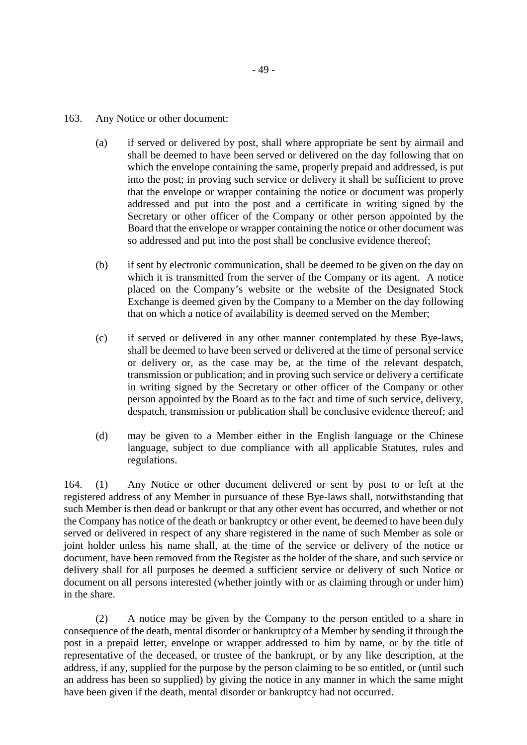- 163. Any Notice or other document:
	- (a) if served or delivered by post, shall where appropriate be sent by airmail and shall be deemed to have been served or delivered on the day following that on which the envelope containing the same, properly prepaid and addressed, is put into the post; in proving such service or delivery it shall be sufficient to prove that the envelope or wrapper containing the notice or document was properly addressed and put into the post and a certificate in writing signed by the Secretary or other officer of the Company or other person appointed by the Board that the envelope or wrapper containing the notice or other document was so addressed and put into the post shall be conclusive evidence thereof;
	- (b) if sent by electronic communication, shall be deemed to be given on the day on which it is transmitted from the server of the Company or its agent. A notice placed on the Company's website or the website of the Designated Stock Exchange is deemed given by the Company to a Member on the day following that on which a notice of availability is deemed served on the Member;
	- (c) if served or delivered in any other manner contemplated by these Bye-laws, shall be deemed to have been served or delivered at the time of personal service or delivery or, as the case may be, at the time of the relevant despatch, transmission or publication; and in proving such service or delivery a certificate in writing signed by the Secretary or other officer of the Company or other person appointed by the Board as to the fact and time of such service, delivery, despatch, transmission or publication shall be conclusive evidence thereof; and
	- (d) may be given to a Member either in the English language or the Chinese language, subject to due compliance with all applicable Statutes, rules and regulations.

164. (1) Any Notice or other document delivered or sent by post to or left at the registered address of any Member in pursuance of these Bye-laws shall, notwithstanding that such Member is then dead or bankrupt or that any other event has occurred, and whether or not the Company has notice of the death or bankruptcy or other event, be deemed to have been duly served or delivered in respect of any share registered in the name of such Member as sole or joint holder unless his name shall, at the time of the service or delivery of the notice or document, have been removed from the Register as the holder of the share, and such service or delivery shall for all purposes be deemed a sufficient service or delivery of such Notice or document on all persons interested (whether jointly with or as claiming through or under him) in the share.

(2) A notice may be given by the Company to the person entitled to a share in consequence of the death, mental disorder or bankruptcy of a Member by sending it through the post in a prepaid letter, envelope or wrapper addressed to him by name, or by the title of representative of the deceased, or trustee of the bankrupt, or by any like description, at the address, if any, supplied for the purpose by the person claiming to be so entitled, or (until such an address has been so supplied) by giving the notice in any manner in which the same might have been given if the death, mental disorder or bankruptcy had not occurred.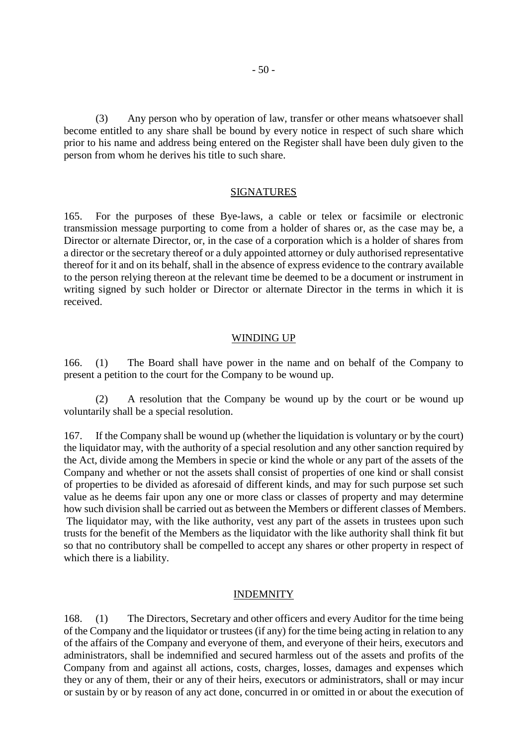(3) Any person who by operation of law, transfer or other means whatsoever shall become entitled to any share shall be bound by every notice in respect of such share which prior to his name and address being entered on the Register shall have been duly given to the person from whom he derives his title to such share.

#### **SIGNATURES**

165. For the purposes of these Bye-laws, a cable or telex or facsimile or electronic transmission message purporting to come from a holder of shares or, as the case may be, a Director or alternate Director, or, in the case of a corporation which is a holder of shares from a director or the secretary thereof or a duly appointed attorney or duly authorised representative thereof for it and on its behalf, shall in the absence of express evidence to the contrary available to the person relying thereon at the relevant time be deemed to be a document or instrument in writing signed by such holder or Director or alternate Director in the terms in which it is received.

#### WINDING UP

166. (1) The Board shall have power in the name and on behalf of the Company to present a petition to the court for the Company to be wound up.

(2) A resolution that the Company be wound up by the court or be wound up voluntarily shall be a special resolution.

167. If the Company shall be wound up (whether the liquidation is voluntary or by the court) the liquidator may, with the authority of a special resolution and any other sanction required by the Act, divide among the Members in specie or kind the whole or any part of the assets of the Company and whether or not the assets shall consist of properties of one kind or shall consist of properties to be divided as aforesaid of different kinds, and may for such purpose set such value as he deems fair upon any one or more class or classes of property and may determine how such division shall be carried out as between the Members or different classes of Members. The liquidator may, with the like authority, vest any part of the assets in trustees upon such trusts for the benefit of the Members as the liquidator with the like authority shall think fit but so that no contributory shall be compelled to accept any shares or other property in respect of which there is a liability.

#### INDEMNITY

168. (1) The Directors, Secretary and other officers and every Auditor for the time being of the Company and the liquidator or trustees (if any) for the time being acting in relation to any of the affairs of the Company and everyone of them, and everyone of their heirs, executors and administrators, shall be indemnified and secured harmless out of the assets and profits of the Company from and against all actions, costs, charges, losses, damages and expenses which they or any of them, their or any of their heirs, executors or administrators, shall or may incur or sustain by or by reason of any act done, concurred in or omitted in or about the execution of